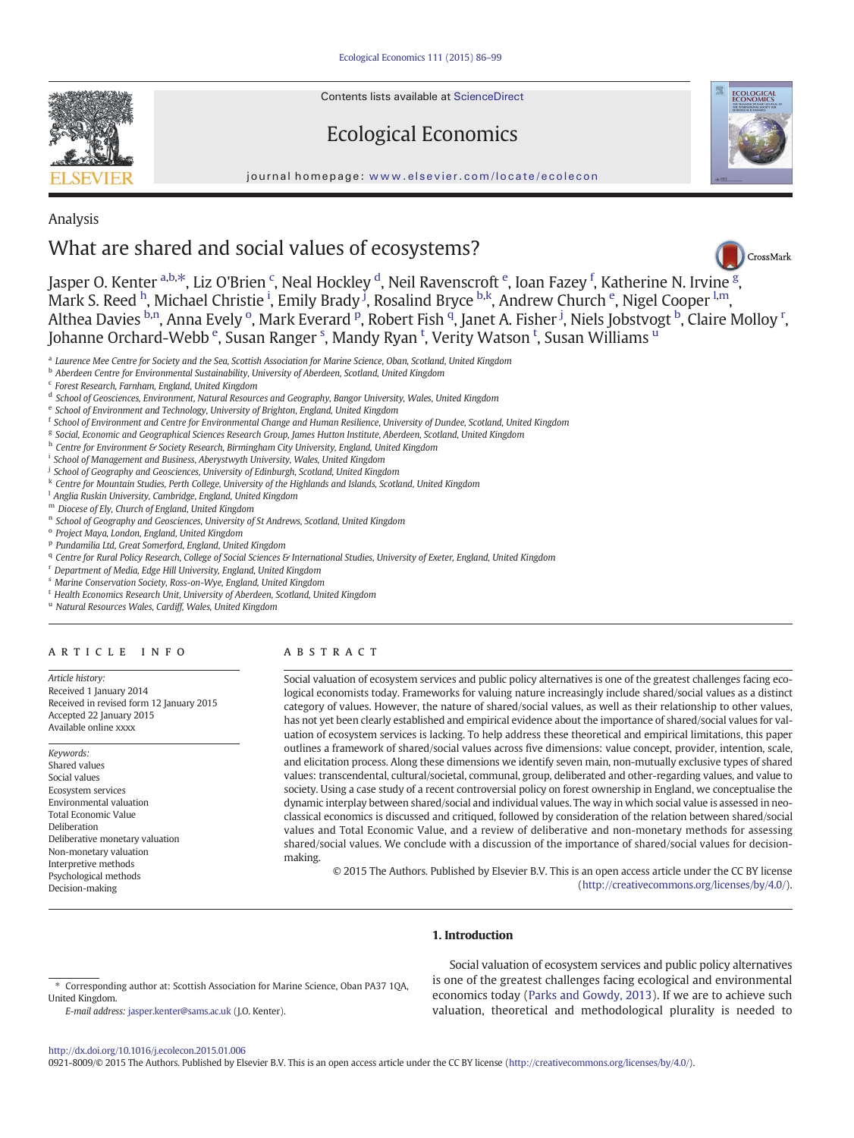Contents lists available at ScienceDirect

# Ecological Economics

journal homepage: <www.elsevier.com/locate/ecolecon>



### Analysis

## What are shared and social values of ecosystems?



Jasper O. Kenter <sup>a,b,\*</sup>, Liz O'Brien <sup>c</sup>, Neal Hockley <sup>d</sup>, Neil Ravenscroft <sup>e</sup>, Ioan Fazey <sup>f</sup>, Katherine N. Irvine <sup>[g](http://crossmark.crossref.org/dialog/?doi=10.1016/j.ecolecon.2015.01.006&domain=pdf)</sup>, Mark S. Reed <sup>h</sup>, Michael Christie <sup>i</sup>, Emily Brady <sup>j</sup>, Rosalind Bryce <sup>b,k</sup>, Andrew Church <sup>e</sup>, Nigel Cooper <sup>l,m</sup>, Althea Davies <sup>b,n</sup>, Anna Evely <sup>o</sup>, Mark Everard <sup>p</sup>, Robert Fish <sup>q</sup>, Janet A. Fisher <sup>j</sup>, Niels Jobstvogt <sup>b</sup>, Claire Molloy <sup>r</sup>, Johanne Orchard-Webb <sup>e</sup>, Susan Ranger <sup>s</sup>, Mandy Ryan <sup>t</sup>, Verity Watson <sup>t</sup>, Susan Williams <sup>u</sup>

- <sup>a</sup> Laurence Mee Centre for Society and the Sea, Scottish Association for Marine Science, Oban, Scotland, United Kingdom
- <sup>b</sup> Aberdeen Centre for Environmental Sustainability, University of Aberdeen, Scotland, United Kingdom
- <sup>c</sup> Forest Research, Farnham, England, United Kingdom
- <sup>d</sup> School of Geosciences, Environment, Natural Resources and Geography, Bangor University, Wales, United Kingdom
- <sup>e</sup> School of Environment and Technology, University of Brighton, England, United Kingdom
- <sup>f</sup> School of Environment and Centre for Environmental Change and Human Resilience, University of Dundee, Scotland, United Kingdom
- <sup>g</sup> Social, Economic and Geographical Sciences Research Group, James Hutton Institute, Aberdeen, Scotland, United Kingdom
- h Centre for Environment & Society Research, Birmingham City University, England, United Kingdom
- <sup>i</sup> School of Management and Business, Aberystwyth University, Wales, United Kingdom
- <sup>j</sup> School of Geography and Geosciences, University of Edinburgh, Scotland, United Kingdom
- <sup>k</sup> Centre for Mountain Studies, Perth College, University of the Highlands and Islands, Scotland, United Kingdom
- <sup>1</sup> Anglia Ruskin University, Cambridge, England, United Kingdom
- <sup>m</sup> Diocese of Ely, Church of England, United Kingdom
- <sup>n</sup> School of Geography and Geosciences, University of St Andrews, Scotland, United Kingdom
- <sup>o</sup> Project Maya, London, England, United Kingdom
- <sup>p</sup> Pundamilia Ltd, Great Somerford, England, United Kingdom
- q Centre for Rural Policy Research, College of Social Sciences & International Studies, University of Exeter, England, United Kingdom
- <sup>r</sup> Department of Media, Edge Hill University, England, United Kingdom
- <sup>s</sup> Marine Conservation Society, Ross-on-Wye, England, United Kingdom
- <sup>t</sup> Health Economics Research Unit, University of Aberdeen, Scotland, United Kingdom
- <sup>u</sup> Natural Resources Wales, Cardiff, Wales, United Kingdom

#### article info abstract

Article history: Received 1 January 2014 Received in revised form 12 January 2015 Accepted 22 January 2015 Available online xxxx

Keywords: Shared values Social values Ecosystem services Environmental valuation Total Economic Value Deliberation Deliberative monetary valuation Non-monetary valuation Interpretive methods Psychological methods Decision-making

Social valuation of ecosystem services and public policy alternatives is one of the greatest challenges facing ecological economists today. Frameworks for valuing nature increasingly include shared/social values as a distinct category of values. However, the nature of shared/social values, as well as their relationship to other values, has not yet been clearly established and empirical evidence about the importance of shared/social values for valuation of ecosystem services is lacking. To help address these theoretical and empirical limitations, this paper outlines a framework of shared/social values across five dimensions: value concept, provider, intention, scale, and elicitation process. Along these dimensions we identify seven main, non-mutually exclusive types of shared values: transcendental, cultural/societal, communal, group, deliberated and other-regarding values, and value to society. Using a case study of a recent controversial policy on forest ownership in England, we conceptualise the dynamic interplay between shared/social and individual values. The way in which social value is assessed in neoclassical economics is discussed and critiqued, followed by consideration of the relation between shared/social values and Total Economic Value, and a review of deliberative and non-monetary methods for assessing shared/social values. We conclude with a discussion of the importance of shared/social values for decisionmaking.

© 2015 The Authors. Published by Elsevier B.V. This is an open access article under the CC BY license [\(http://creativecommons.org/licenses/by/4.0/](http://creativecommons.org/licenses/by/4.0/)).

#### 1. Introduction

Social valuation of ecosystem services and public policy alternatives is one of the greatest challenges facing ecological and environmental economics today ([Parks and Gowdy, 2013\)](#page-13-0). If we are to achieve such valuation, theoretical and methodological plurality is needed to

<sup>⁎</sup> Corresponding author at: Scottish Association for Marine Science, Oban PA37 1QA, United Kingdom.

E-mail address: [jasper.kenter@sams.ac.uk](mailto:jasper.kenter@sams.ac.uk) (J.O. Kenter).

<http://dx.doi.org/10.1016/j.ecolecon.2015.01.006>

<sup>0921-8009/© 2015</sup> The Authors. Published by Elsevier B.V. This is an open access article under the CC BY license [\(http://creativecommons.org/licenses/by/4.0/\)](http://creativecommons.org/licenses/by/4.0/).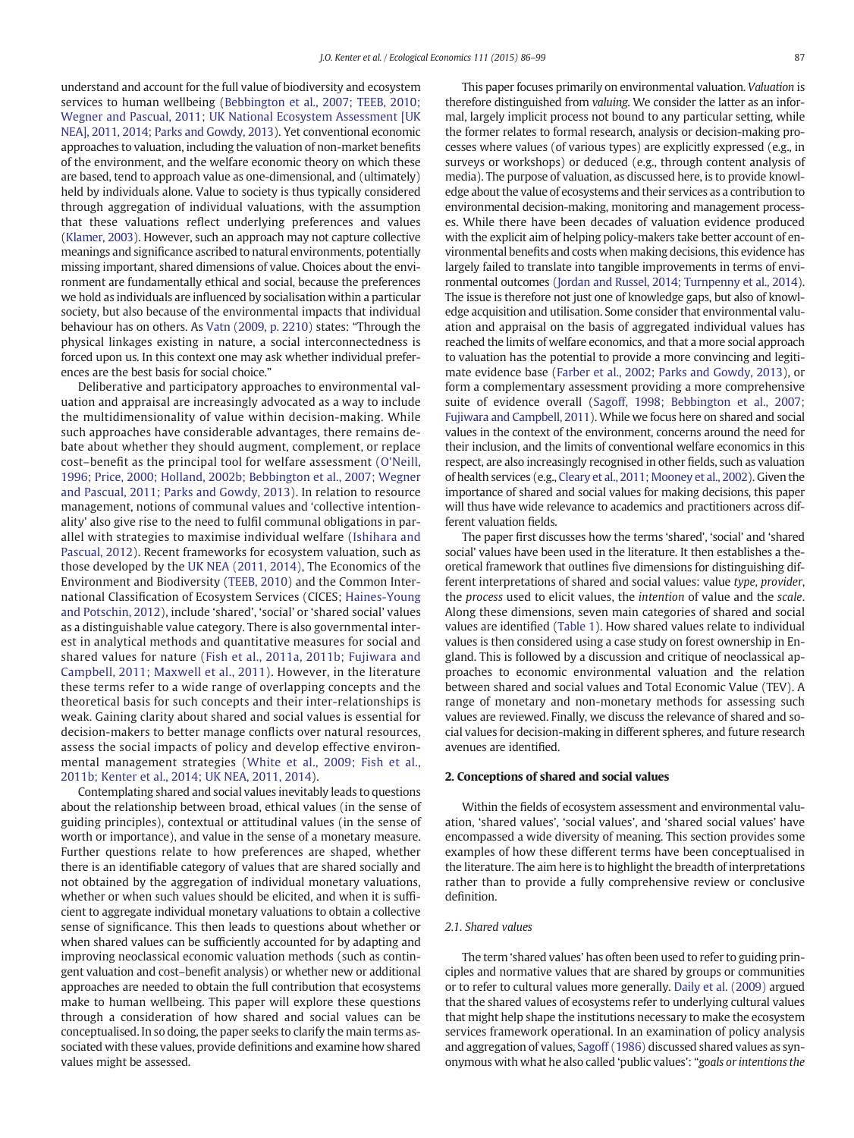understand and account for the full value of biodiversity and ecosystem services to human wellbeing ([Bebbington et al., 2007; TEEB, 2010;](#page-12-0) [Wegner and Pascual, 2011; UK National Ecosystem Assessment \[UK](#page-12-0) [NEA\], 2011, 2014; Parks and Gowdy, 2013\)](#page-12-0). Yet conventional economic approaches to valuation, including the valuation of non-market benefits of the environment, and the welfare economic theory on which these are based, tend to approach value as one-dimensional, and (ultimately) held by individuals alone. Value to society is thus typically considered through aggregation of individual valuations, with the assumption that these valuations reflect underlying preferences and values [\(Klamer, 2003](#page-13-0)). However, such an approach may not capture collective meanings and significance ascribed to natural environments, potentially missing important, shared dimensions of value. Choices about the environment are fundamentally ethical and social, because the preferences we hold as individuals are influenced by socialisation within a particular society, but also because of the environmental impacts that individual behaviour has on others. As [Vatn \(2009, p. 2210\)](#page-13-0) states: "Through the physical linkages existing in nature, a social interconnectedness is forced upon us. In this context one may ask whether individual preferences are the best basis for social choice."

Deliberative and participatory approaches to environmental valuation and appraisal are increasingly advocated as a way to include the multidimensionality of value within decision-making. While such approaches have considerable advantages, there remains debate about whether they should augment, complement, or replace cost–benefit as the principal tool for welfare assessment ([O'Neill,](#page-13-0) [1996; Price, 2000; Holland, 2002b; Bebbington et al., 2007; Wegner](#page-13-0) [and Pascual, 2011; Parks and Gowdy, 2013\)](#page-13-0). In relation to resource management, notions of communal values and 'collective intentionality' also give rise to the need to fulfil communal obligations in parallel with strategies to maximise individual welfare [\(Ishihara and](#page-13-0) [Pascual, 2012\)](#page-13-0). Recent frameworks for ecosystem valuation, such as those developed by the [UK NEA \(2011, 2014\),](#page-13-0) The Economics of the Environment and Biodiversity [\(TEEB, 2010\)](#page-13-0) and the Common International Classification of Ecosystem Services (CICES; [Haines-Young](#page-12-0) [and Potschin, 2012](#page-12-0)), include 'shared', 'social' or 'shared social' values as a distinguishable value category. There is also governmental interest in analytical methods and quantitative measures for social and shared values for nature ([Fish et al., 2011a, 2011b; Fujiwara and](#page-12-0) [Campbell, 2011; Maxwell et al., 2011](#page-12-0)). However, in the literature these terms refer to a wide range of overlapping concepts and the theoretical basis for such concepts and their inter-relationships is weak. Gaining clarity about shared and social values is essential for decision-makers to better manage conflicts over natural resources, assess the social impacts of policy and develop effective environmental management strategies [\(White et al., 2009; Fish et al.,](#page-13-0) [2011b; Kenter et al., 2014; UK NEA, 2011, 2014](#page-13-0)).

Contemplating shared and social values inevitably leads to questions about the relationship between broad, ethical values (in the sense of guiding principles), contextual or attitudinal values (in the sense of worth or importance), and value in the sense of a monetary measure. Further questions relate to how preferences are shaped, whether there is an identifiable category of values that are shared socially and not obtained by the aggregation of individual monetary valuations, whether or when such values should be elicited, and when it is sufficient to aggregate individual monetary valuations to obtain a collective sense of significance. This then leads to questions about whether or when shared values can be sufficiently accounted for by adapting and improving neoclassical economic valuation methods (such as contingent valuation and cost–benefit analysis) or whether new or additional approaches are needed to obtain the full contribution that ecosystems make to human wellbeing. This paper will explore these questions through a consideration of how shared and social values can be conceptualised. In so doing, the paper seeks to clarify the main terms associated with these values, provide definitions and examine how shared values might be assessed.

This paper focuses primarily on environmental valuation. Valuation is therefore distinguished from valuing. We consider the latter as an informal, largely implicit process not bound to any particular setting, while the former relates to formal research, analysis or decision-making processes where values (of various types) are explicitly expressed (e.g., in surveys or workshops) or deduced (e.g., through content analysis of media). The purpose of valuation, as discussed here, is to provide knowledge about the value of ecosystems and their services as a contribution to environmental decision-making, monitoring and management processes. While there have been decades of valuation evidence produced with the explicit aim of helping policy-makers take better account of environmental benefits and costs when making decisions, this evidence has largely failed to translate into tangible improvements in terms of environmental outcomes [\(Jordan and Russel, 2014; Turnpenny et al., 2014](#page-13-0)). The issue is therefore not just one of knowledge gaps, but also of knowledge acquisition and utilisation. Some consider that environmental valuation and appraisal on the basis of aggregated individual values has reached the limits of welfare economics, and that a more social approach to valuation has the potential to provide a more convincing and legitimate evidence base [\(Farber et al., 2002; Parks and Gowdy, 2013](#page-12-0)), or form a complementary assessment providing a more comprehensive suite of evidence overall [\(Sagoff, 1998; Bebbington et al., 2007;](#page-13-0) [Fujiwara and Campbell, 2011](#page-13-0)). While we focus here on shared and social values in the context of the environment, concerns around the need for their inclusion, and the limits of conventional welfare economics in this respect, are also increasingly recognised in other fields, such as valuation of health services (e.g., [Cleary et al., 2011; Mooney et al., 2002\)](#page-12-0). Given the importance of shared and social values for making decisions, this paper will thus have wide relevance to academics and practitioners across different valuation fields.

The paper first discusses how the terms 'shared', 'social' and 'shared social' values have been used in the literature. It then establishes a theoretical framework that outlines five dimensions for distinguishing different interpretations of shared and social values: value type, provider, the process used to elicit values, the intention of value and the scale. Along these dimensions, seven main categories of shared and social values are identified [\(Table 1](#page-2-0)). How shared values relate to individual values is then considered using a case study on forest ownership in England. This is followed by a discussion and critique of neoclassical approaches to economic environmental valuation and the relation between shared and social values and Total Economic Value (TEV). A range of monetary and non-monetary methods for assessing such values are reviewed. Finally, we discuss the relevance of shared and social values for decision-making in different spheres, and future research avenues are identified.

#### 2. Conceptions of shared and social values

Within the fields of ecosystem assessment and environmental valuation, 'shared values', 'social values', and 'shared social values' have encompassed a wide diversity of meaning. This section provides some examples of how these different terms have been conceptualised in the literature. The aim here is to highlight the breadth of interpretations rather than to provide a fully comprehensive review or conclusive definition.

#### 2.1. Shared values

The term 'shared values' has often been used to refer to guiding principles and normative values that are shared by groups or communities or to refer to cultural values more generally. [Daily et al. \(2009\)](#page-12-0) argued that the shared values of ecosystems refer to underlying cultural values that might help shape the institutions necessary to make the ecosystem services framework operational. In an examination of policy analysis and aggregation of values, [Sagoff \(1986\)](#page-13-0) discussed shared values as synonymous with what he also called 'public values': "goals or intentions the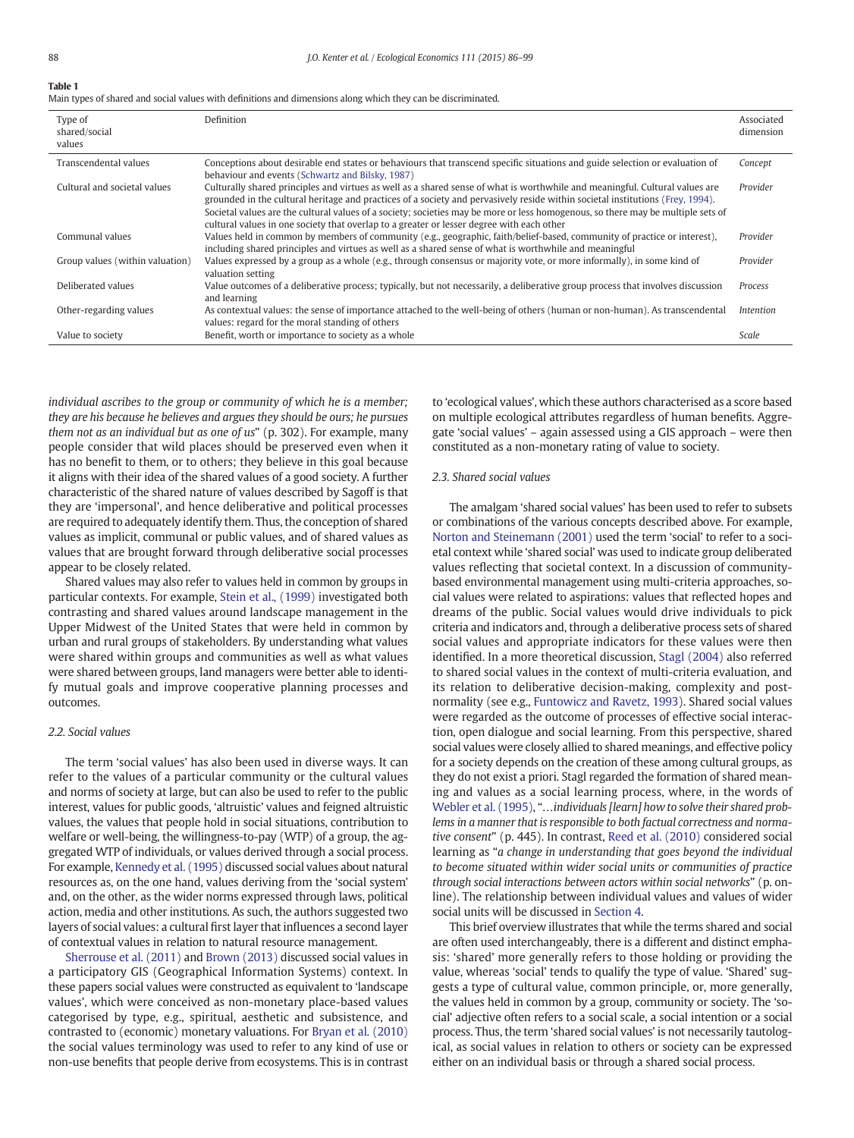<span id="page-2-0"></span>Main types of shared and social values with definitions and dimensions along which they can be discriminated.

| Type of<br>shared/social<br>values | Definition                                                                                                                                                                                                                                                                                                                                                                                                                                                                                      | Associated<br>dimension |
|------------------------------------|-------------------------------------------------------------------------------------------------------------------------------------------------------------------------------------------------------------------------------------------------------------------------------------------------------------------------------------------------------------------------------------------------------------------------------------------------------------------------------------------------|-------------------------|
| Transcendental values              | Conceptions about desirable end states or behaviours that transcend specific situations and guide selection or evaluation of<br>behaviour and events (Schwartz and Bilsky, 1987)                                                                                                                                                                                                                                                                                                                | Concept                 |
| Cultural and societal values       | Culturally shared principles and virtues as well as a shared sense of what is worthwhile and meaningful. Cultural values are<br>grounded in the cultural heritage and practices of a society and pervasively reside within societal institutions (Frey, 1994).<br>Societal values are the cultural values of a society; societies may be more or less homogenous, so there may be multiple sets of<br>cultural values in one society that overlap to a greater or lesser degree with each other | Provider                |
| Communal values                    | Values held in common by members of community (e.g., geographic, faith/belief-based, community of practice or interest),<br>including shared principles and virtues as well as a shared sense of what is worthwhile and meaningful                                                                                                                                                                                                                                                              | Provider                |
| Group values (within valuation)    | Values expressed by a group as a whole (e.g., through consensus or majority vote, or more informally), in some kind of<br>valuation setting                                                                                                                                                                                                                                                                                                                                                     | Provider                |
| Deliberated values                 | Value outcomes of a deliberative process; typically, but not necessarily, a deliberative group process that involves discussion<br>and learning                                                                                                                                                                                                                                                                                                                                                 | Process                 |
| Other-regarding values             | As contextual values: the sense of importance attached to the well-being of others (human or non-human). As transcendental<br>values: regard for the moral standing of others                                                                                                                                                                                                                                                                                                                   | <i>Intention</i>        |
| Value to society                   | Benefit, worth or importance to society as a whole                                                                                                                                                                                                                                                                                                                                                                                                                                              | Scale                   |

individual ascribes to the group or community of which he is a member; they are his because he believes and argues they should be ours; he pursues them not as an individual but as one of us" (p. 302). For example, many people consider that wild places should be preserved even when it has no benefit to them, or to others; they believe in this goal because it aligns with their idea of the shared values of a good society. A further characteristic of the shared nature of values described by Sagoff is that they are 'impersonal', and hence deliberative and political processes are required to adequately identify them. Thus, the conception of shared values as implicit, communal or public values, and of shared values as values that are brought forward through deliberative social processes appear to be closely related.

Shared values may also refer to values held in common by groups in particular contexts. For example, [Stein et al., \(1999\)](#page-13-0) investigated both contrasting and shared values around landscape management in the Upper Midwest of the United States that were held in common by urban and rural groups of stakeholders. By understanding what values were shared within groups and communities as well as what values were shared between groups, land managers were better able to identify mutual goals and improve cooperative planning processes and outcomes.

#### 2.2. Social values

The term 'social values' has also been used in diverse ways. It can refer to the values of a particular community or the cultural values and norms of society at large, but can also be used to refer to the public interest, values for public goods, 'altruistic' values and feigned altruistic values, the values that people hold in social situations, contribution to welfare or well-being, the willingness-to-pay (WTP) of a group, the aggregated WTP of individuals, or values derived through a social process. For example, [Kennedy et al. \(1995\)](#page-13-0) discussed social values about natural resources as, on the one hand, values deriving from the 'social system' and, on the other, as the wider norms expressed through laws, political action, media and other institutions. As such, the authors suggested two layers of social values: a cultural first layer that influences a second layer of contextual values in relation to natural resource management.

[Sherrouse et al. \(2011\)](#page-13-0) and [Brown \(2013\)](#page-12-0) discussed social values in a participatory GIS (Geographical Information Systems) context. In these papers social values were constructed as equivalent to 'landscape values', which were conceived as non-monetary place-based values categorised by type, e.g., spiritual, aesthetic and subsistence, and contrasted to (economic) monetary valuations. For [Bryan et al. \(2010\)](#page-12-0) the social values terminology was used to refer to any kind of use or non-use benefits that people derive from ecosystems. This is in contrast to 'ecological values', which these authors characterised as a score based on multiple ecological attributes regardless of human benefits. Aggregate 'social values' – again assessed using a GIS approach – were then constituted as a non-monetary rating of value to society.

#### 2.3. Shared social values

The amalgam 'shared social values' has been used to refer to subsets or combinations of the various concepts described above. For example, [Norton and Steinemann \(2001\)](#page-13-0) used the term 'social' to refer to a societal context while 'shared social' was used to indicate group deliberated values reflecting that societal context. In a discussion of communitybased environmental management using multi-criteria approaches, social values were related to aspirations: values that reflected hopes and dreams of the public. Social values would drive individuals to pick criteria and indicators and, through a deliberative process sets of shared social values and appropriate indicators for these values were then identified. In a more theoretical discussion, [Stagl \(2004\)](#page-13-0) also referred to shared social values in the context of multi-criteria evaluation, and its relation to deliberative decision-making, complexity and postnormality (see e.g., [Funtowicz and Ravetz, 1993](#page-12-0)). Shared social values were regarded as the outcome of processes of effective social interaction, open dialogue and social learning. From this perspective, shared social values were closely allied to shared meanings, and effective policy for a society depends on the creation of these among cultural groups, as they do not exist a priori. Stagl regarded the formation of shared meaning and values as a social learning process, where, in the words of [Webler et al. \(1995\),](#page-13-0) "...individuals [learn] how to solve their shared problems in a manner that is responsible to both factual correctness and normative consent" (p. 445). In contrast, [Reed et al. \(2010\)](#page-13-0) considered social learning as "a change in understanding that goes beyond the individual to become situated within wider social units or communities of practice through social interactions between actors within social networks" (p. online). The relationship between individual values and values of wider social units will be discussed in [Section 4](#page-5-0).

This brief overview illustrates that while the terms shared and social are often used interchangeably, there is a different and distinct emphasis: 'shared' more generally refers to those holding or providing the value, whereas 'social' tends to qualify the type of value. 'Shared' suggests a type of cultural value, common principle, or, more generally, the values held in common by a group, community or society. The 'social' adjective often refers to a social scale, a social intention or a social process. Thus, the term 'shared social values' is not necessarily tautological, as social values in relation to others or society can be expressed either on an individual basis or through a shared social process.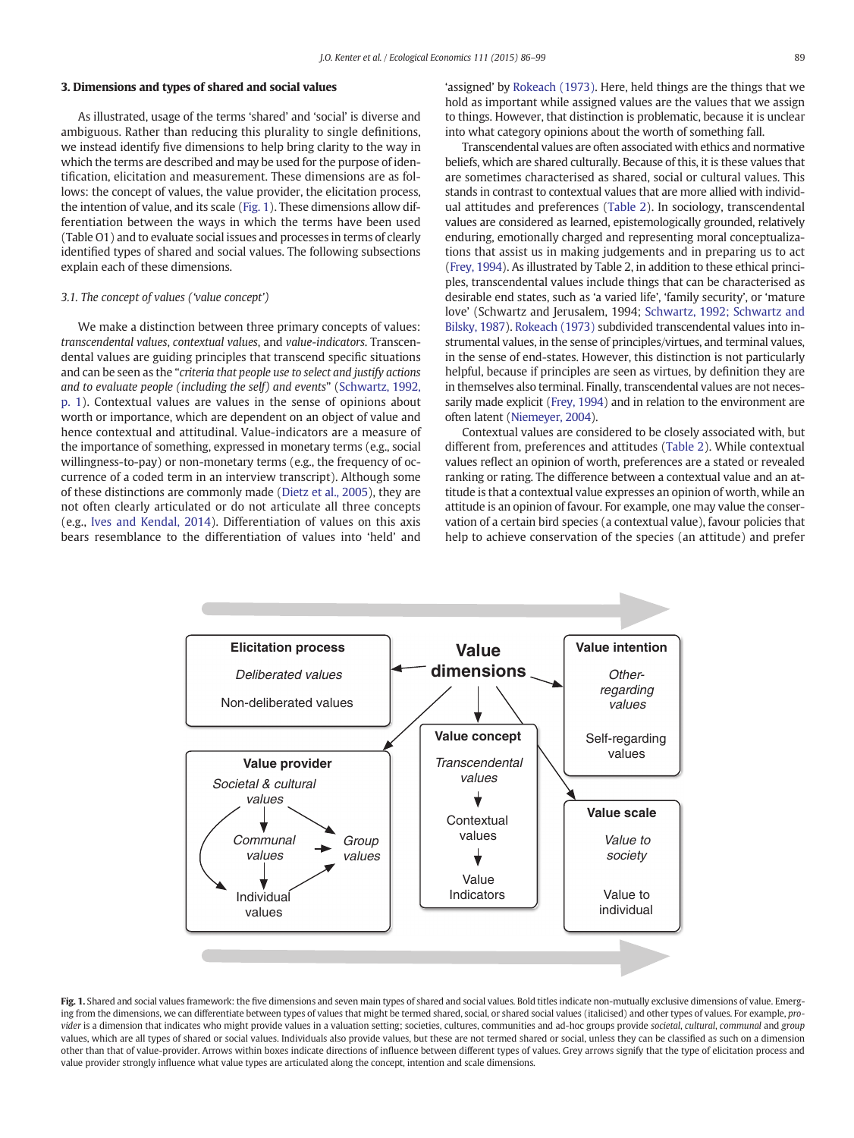#### <span id="page-3-0"></span>3. Dimensions and types of shared and social values

As illustrated, usage of the terms 'shared' and 'social' is diverse and ambiguous. Rather than reducing this plurality to single definitions, we instead identify five dimensions to help bring clarity to the way in which the terms are described and may be used for the purpose of identification, elicitation and measurement. These dimensions are as follows: the concept of values, the value provider, the elicitation process, the intention of value, and its scale (Fig. 1). These dimensions allow differentiation between the ways in which the terms have been used (Table O1) and to evaluate social issues and processes in terms of clearly identified types of shared and social values. The following subsections explain each of these dimensions.

#### 3.1. The concept of values ('value concept')

We make a distinction between three primary concepts of values: transcendental values, contextual values, and value-indicators. Transcendental values are guiding principles that transcend specific situations and can be seen as the "criteria that people use to select and justify actions and to evaluate people (including the self) and events" ([Schwartz, 1992,](#page-13-0) [p. 1](#page-13-0)). Contextual values are values in the sense of opinions about worth or importance, which are dependent on an object of value and hence contextual and attitudinal. Value-indicators are a measure of the importance of something, expressed in monetary terms (e.g., social willingness-to-pay) or non-monetary terms (e.g., the frequency of occurrence of a coded term in an interview transcript). Although some of these distinctions are commonly made ([Dietz et al., 2005\)](#page-12-0), they are not often clearly articulated or do not articulate all three concepts (e.g., [Ives and Kendal, 2014](#page-13-0)). Differentiation of values on this axis bears resemblance to the differentiation of values into 'held' and

'assigned' by [Rokeach \(1973\)](#page-13-0). Here, held things are the things that we hold as important while assigned values are the values that we assign to things. However, that distinction is problematic, because it is unclear into what category opinions about the worth of something fall.

Transcendental values are often associated with ethics and normative beliefs, which are shared culturally. Because of this, it is these values that are sometimes characterised as shared, social or cultural values. This stands in contrast to contextual values that are more allied with individual attitudes and preferences [\(Table 2\)](#page-6-0). In sociology, transcendental values are considered as learned, epistemologically grounded, relatively enduring, emotionally charged and representing moral conceptualizations that assist us in making judgements and in preparing us to act [\(Frey, 1994](#page-12-0)). As illustrated by Table 2, in addition to these ethical principles, transcendental values include things that can be characterised as desirable end states, such as 'a varied life', 'family security', or 'mature love' (Schwartz and Jerusalem, 1994; [Schwartz, 1992; Schwartz and](#page-13-0) [Bilsky, 1987](#page-13-0)). [Rokeach \(1973\)](#page-13-0) subdivided transcendental values into instrumental values, in the sense of principles/virtues, and terminal values, in the sense of end-states. However, this distinction is not particularly helpful, because if principles are seen as virtues, by definition they are in themselves also terminal. Finally, transcendental values are not necessarily made explicit [\(Frey, 1994\)](#page-12-0) and in relation to the environment are often latent ([Niemeyer, 2004](#page-13-0)).

Contextual values are considered to be closely associated with, but different from, preferences and attitudes ([Table 2](#page-6-0)). While contextual values reflect an opinion of worth, preferences are a stated or revealed ranking or rating. The difference between a contextual value and an attitude is that a contextual value expresses an opinion of worth, while an attitude is an opinion of favour. For example, one may value the conservation of a certain bird species (a contextual value), favour policies that help to achieve conservation of the species (an attitude) and prefer



Fig. 1. Shared and social values framework: the five dimensions and seven main types of shared and social values. Bold titles indicate non-mutually exclusive dimensions of value. Emerging from the dimensions, we can differentiate between types of values that might be termed shared, social, or shared social values (italicised) and other types of values. For example, provider is a dimension that indicates who might provide values in a valuation setting; societies, cultures, communities and ad-hoc groups provide societal, cultural, communal and group values, which are all types of shared or social values. Individuals also provide values, but these are not termed shared or social, unless they can be classified as such on a dimension other than that of value-provider. Arrows within boxes indicate directions of influence between different types of values. Grey arrows signify that the type of elicitation process and value provider strongly influence what value types are articulated along the concept, intention and scale dimensions.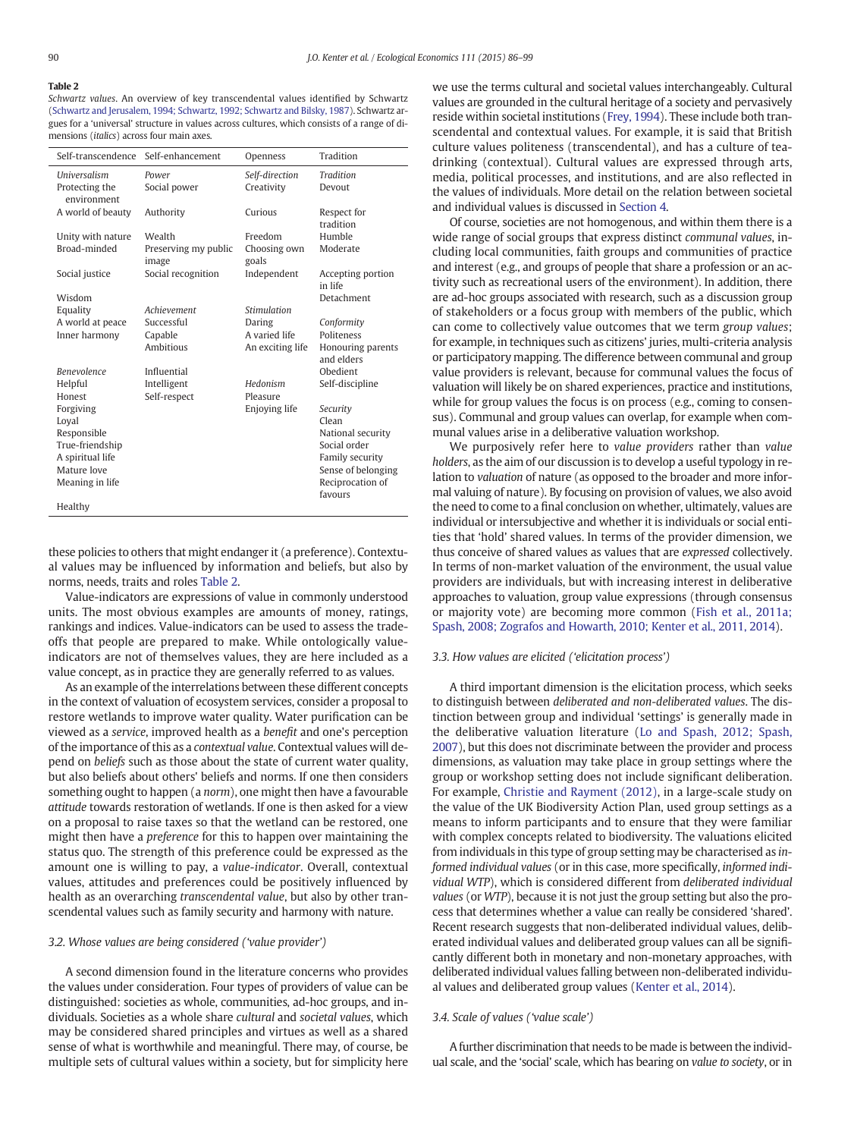Schwartz values. An overview of key transcendental values identified by Schwartz ([Schwartz and Jerusalem, 1994; Schwartz, 1992; Schwartz and Bilsky, 1987\)](#page-13-0). Schwartz argues for a 'universal' structure in values across cultures, which consists of a range of dimensions (italics) across four main axes.

| Self-transcendence            | Self-enhancement              | Openness              | Tradition                       |
|-------------------------------|-------------------------------|-----------------------|---------------------------------|
| <b>Ilniversalism</b>          | Power                         | Self-direction        | <b>Tradition</b>                |
| Protecting the<br>environment | Social power                  | Creativity            | Devout                          |
| A world of beauty             | Authority                     | Curious               | Respect for                     |
|                               |                               |                       | tradition                       |
| Unity with nature             | Wealth                        | Freedom               | Humble                          |
| Broad-minded                  | Preserving my public<br>image | Choosing own<br>goals | Moderate                        |
| Social justice                | Social recognition            | Independent           | Accepting portion<br>in life    |
| Wisdom                        |                               |                       | Detachment                      |
| Equality                      | Achievement                   | Stimulation           |                                 |
| A world at peace              | Successful                    | Daring                | Conformity                      |
| Inner harmony                 | Capable                       | A varied life         | Politeness                      |
|                               | Ambitious                     | An exciting life      | Honouring parents<br>and elders |
| <b>Benevolence</b>            | Influential                   |                       | Obedient                        |
| Helpful                       | Intelligent                   | Hedonism              | Self-discipline                 |
| Honest                        | Self-respect                  | Pleasure              |                                 |
| Forgiving                     |                               | Enjoying life         | Security                        |
| Loval                         |                               |                       | Clean                           |
| Responsible                   |                               |                       | National security               |
| True-friendship               |                               |                       | Social order                    |
| A spiritual life              |                               |                       | Family security                 |
| Mature love                   |                               |                       | Sense of belonging              |
| Meaning in life               |                               |                       | Reciprocation of                |
| Healthy                       |                               |                       | favours                         |

these policies to others that might endanger it (a preference). Contextual values may be influenced by information and beliefs, but also by norms, needs, traits and roles [Table 2.](#page-6-0)

Value-indicators are expressions of value in commonly understood units. The most obvious examples are amounts of money, ratings, rankings and indices. Value-indicators can be used to assess the tradeoffs that people are prepared to make. While ontologically valueindicators are not of themselves values, they are here included as a value concept, as in practice they are generally referred to as values.

As an example of the interrelations between these different concepts in the context of valuation of ecosystem services, consider a proposal to restore wetlands to improve water quality. Water purification can be viewed as a service, improved health as a benefit and one's perception of the importance of this as a contextual value. Contextual values will depend on beliefs such as those about the state of current water quality, but also beliefs about others' beliefs and norms. If one then considers something ought to happen (a norm), one might then have a favourable attitude towards restoration of wetlands. If one is then asked for a view on a proposal to raise taxes so that the wetland can be restored, one might then have a preference for this to happen over maintaining the status quo. The strength of this preference could be expressed as the amount one is willing to pay, a value-indicator. Overall, contextual values, attitudes and preferences could be positively influenced by health as an overarching transcendental value, but also by other transcendental values such as family security and harmony with nature.

#### 3.2. Whose values are being considered ('value provider')

A second dimension found in the literature concerns who provides the values under consideration. Four types of providers of value can be distinguished: societies as whole, communities, ad-hoc groups, and individuals. Societies as a whole share cultural and societal values, which may be considered shared principles and virtues as well as a shared sense of what is worthwhile and meaningful. There may, of course, be multiple sets of cultural values within a society, but for simplicity here we use the terms cultural and societal values interchangeably. Cultural values are grounded in the cultural heritage of a society and pervasively reside within societal institutions ([Frey, 1994](#page-12-0)). These include both transcendental and contextual values. For example, it is said that British culture values politeness (transcendental), and has a culture of teadrinking (contextual). Cultural values are expressed through arts, media, political processes, and institutions, and are also reflected in the values of individuals. More detail on the relation between societal and individual values is discussed in [Section 4.](#page-5-0)

Of course, societies are not homogenous, and within them there is a wide range of social groups that express distinct communal values, including local communities, faith groups and communities of practice and interest (e.g., and groups of people that share a profession or an activity such as recreational users of the environment). In addition, there are ad-hoc groups associated with research, such as a discussion group of stakeholders or a focus group with members of the public, which can come to collectively value outcomes that we term group values; for example, in techniques such as citizens' juries, multi-criteria analysis or participatory mapping. The difference between communal and group value providers is relevant, because for communal values the focus of valuation will likely be on shared experiences, practice and institutions, while for group values the focus is on process (e.g., coming to consensus). Communal and group values can overlap, for example when communal values arise in a deliberative valuation workshop.

We purposively refer here to value providers rather than value holders, as the aim of our discussion is to develop a useful typology in relation to valuation of nature (as opposed to the broader and more informal valuing of nature). By focusing on provision of values, we also avoid the need to come to a final conclusion on whether, ultimately, values are individual or intersubjective and whether it is individuals or social entities that 'hold' shared values. In terms of the provider dimension, we thus conceive of shared values as values that are expressed collectively. In terms of non-market valuation of the environment, the usual value providers are individuals, but with increasing interest in deliberative approaches to valuation, group value expressions (through consensus or majority vote) are becoming more common ([Fish et al., 2011a;](#page-12-0) [Spash, 2008; Zografos and Howarth, 2010; Kenter et al., 2011, 2014\)](#page-12-0).

#### 3.3. How values are elicited ('elicitation process')

A third important dimension is the elicitation process, which seeks to distinguish between deliberated and non-deliberated values. The distinction between group and individual 'settings' is generally made in the deliberative valuation literature [\(Lo and Spash, 2012; Spash,](#page-13-0) [2007\)](#page-13-0), but this does not discriminate between the provider and process dimensions, as valuation may take place in group settings where the group or workshop setting does not include significant deliberation. For example, [Christie and Rayment \(2012\),](#page-12-0) in a large-scale study on the value of the UK Biodiversity Action Plan, used group settings as a means to inform participants and to ensure that they were familiar with complex concepts related to biodiversity. The valuations elicited from individuals in this type of group setting may be characterised as informed individual values (or in this case, more specifically, informed individual WTP), which is considered different from deliberated individual values (or WTP), because it is not just the group setting but also the process that determines whether a value can really be considered 'shared'. Recent research suggests that non-deliberated individual values, deliberated individual values and deliberated group values can all be significantly different both in monetary and non-monetary approaches, with deliberated individual values falling between non-deliberated individual values and deliberated group values [\(Kenter et al., 2014\)](#page-13-0).

#### 3.4. Scale of values ('value scale')

A further discrimination that needs to be made is between the individual scale, and the 'social' scale, which has bearing on value to society, or in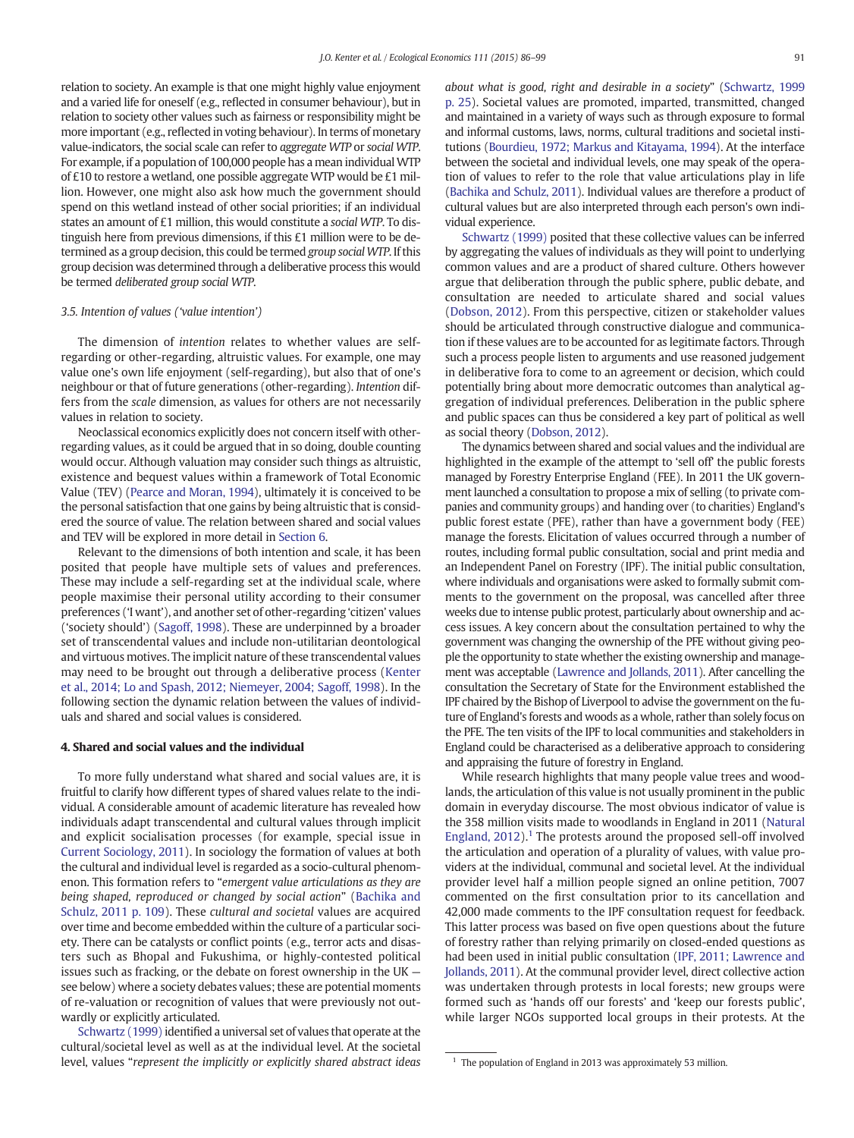<span id="page-5-0"></span>relation to society. An example is that one might highly value enjoyment and a varied life for oneself (e.g., reflected in consumer behaviour), but in relation to society other values such as fairness or responsibility might be more important (e.g., reflected in voting behaviour). In terms of monetary value-indicators, the social scale can refer to aggregate WTP or social WTP. For example, if a population of 100,000 people has a mean individualWTP of £10 to restore a wetland, one possible aggregate WTP would be £1 million. However, one might also ask how much the government should spend on this wetland instead of other social priorities; if an individual states an amount of £1 million, this would constitute a social WTP. To distinguish here from previous dimensions, if this £1 million were to be determined as a group decision, this could be termed group social WTP. If this group decision was determined through a deliberative process this would be termed deliberated group social WTP.

#### 3.5. Intention of values ('value intention')

The dimension of intention relates to whether values are selfregarding or other-regarding, altruistic values. For example, one may value one's own life enjoyment (self-regarding), but also that of one's neighbour or that of future generations (other-regarding). Intention differs from the scale dimension, as values for others are not necessarily values in relation to society.

Neoclassical economics explicitly does not concern itself with otherregarding values, as it could be argued that in so doing, double counting would occur. Although valuation may consider such things as altruistic, existence and bequest values within a framework of Total Economic Value (TEV) [\(Pearce and Moran, 1994](#page-13-0)), ultimately it is conceived to be the personal satisfaction that one gains by being altruistic that is considered the source of value. The relation between shared and social values and TEV will be explored in more detail in [Section 6.](#page-8-0)

Relevant to the dimensions of both intention and scale, it has been posited that people have multiple sets of values and preferences. These may include a self-regarding set at the individual scale, where people maximise their personal utility according to their consumer preferences ('I want'), and another set of other-regarding 'citizen' values ('society should') ([Sagoff, 1998\)](#page-13-0). These are underpinned by a broader set of transcendental values and include non-utilitarian deontological and virtuous motives. The implicit nature of these transcendental values may need to be brought out through a deliberative process ([Kenter](#page-13-0) [et al., 2014; Lo and Spash, 2012; Niemeyer, 2004; Sagoff, 1998](#page-13-0)). In the following section the dynamic relation between the values of individuals and shared and social values is considered.

#### 4. Shared and social values and the individual

To more fully understand what shared and social values are, it is fruitful to clarify how different types of shared values relate to the individual. A considerable amount of academic literature has revealed how individuals adapt transcendental and cultural values through implicit and explicit socialisation processes (for example, special issue in [Current Sociology, 2011\)](#page-13-0). In sociology the formation of values at both the cultural and individual level is regarded as a socio-cultural phenomenon. This formation refers to "emergent value articulations as they are being shaped, reproduced or changed by social action" [\(Bachika and](#page-12-0) [Schulz, 2011 p. 109\)](#page-12-0). These cultural and societal values are acquired over time and become embedded within the culture of a particular society. There can be catalysts or conflict points (e.g., terror acts and disasters such as Bhopal and Fukushima, or highly-contested political issues such as fracking, or the debate on forest ownership in the UK see below) where a society debates values; these are potential moments of re-valuation or recognition of values that were previously not outwardly or explicitly articulated.

[Schwartz \(1999\)](#page-13-0) identified a universal set of values that operate at the cultural/societal level as well as at the individual level. At the societal level, values "represent the implicitly or explicitly shared abstract ideas about what is good, right and desirable in a society" [\(Schwartz, 1999](#page-13-0) [p. 25\)](#page-13-0). Societal values are promoted, imparted, transmitted, changed and maintained in a variety of ways such as through exposure to formal and informal customs, laws, norms, cultural traditions and societal institutions [\(Bourdieu, 1972; Markus and Kitayama, 1994](#page-12-0)). At the interface between the societal and individual levels, one may speak of the operation of values to refer to the role that value articulations play in life [\(Bachika and Schulz, 2011\)](#page-12-0). Individual values are therefore a product of cultural values but are also interpreted through each person's own individual experience.

[Schwartz \(1999\)](#page-13-0) posited that these collective values can be inferred by aggregating the values of individuals as they will point to underlying common values and are a product of shared culture. Others however argue that deliberation through the public sphere, public debate, and consultation are needed to articulate shared and social values [\(Dobson, 2012](#page-12-0)). From this perspective, citizen or stakeholder values should be articulated through constructive dialogue and communication if these values are to be accounted for as legitimate factors. Through such a process people listen to arguments and use reasoned judgement in deliberative fora to come to an agreement or decision, which could potentially bring about more democratic outcomes than analytical aggregation of individual preferences. Deliberation in the public sphere and public spaces can thus be considered a key part of political as well as social theory ([Dobson, 2012](#page-12-0)).

The dynamics between shared and social values and the individual are highlighted in the example of the attempt to 'sell off' the public forests managed by Forestry Enterprise England (FEE). In 2011 the UK government launched a consultation to propose a mix of selling (to private companies and community groups) and handing over (to charities) England's public forest estate (PFE), rather than have a government body (FEE) manage the forests. Elicitation of values occurred through a number of routes, including formal public consultation, social and print media and an Independent Panel on Forestry (IPF). The initial public consultation, where individuals and organisations were asked to formally submit comments to the government on the proposal, was cancelled after three weeks due to intense public protest, particularly about ownership and access issues. A key concern about the consultation pertained to why the government was changing the ownership of the PFE without giving people the opportunity to state whether the existing ownership and management was acceptable ([Lawrence and Jollands, 2011](#page-13-0)). After cancelling the consultation the Secretary of State for the Environment established the IPF chaired by the Bishop of Liverpool to advise the government on the future of England's forests and woods as a whole, rather than solely focus on the PFE. The ten visits of the IPF to local communities and stakeholders in England could be characterised as a deliberative approach to considering and appraising the future of forestry in England.

While research highlights that many people value trees and woodlands, the articulation of this value is not usually prominent in the public domain in everyday discourse. The most obvious indicator of value is the 358 million visits made to woodlands in England in 2011 ([Natural](#page-12-0) England,  $2012$ ).<sup>1</sup> The protests around the proposed sell-off involved the articulation and operation of a plurality of values, with value providers at the individual, communal and societal level. At the individual provider level half a million people signed an online petition, 7007 commented on the first consultation prior to its cancellation and 42,000 made comments to the IPF consultation request for feedback. This latter process was based on five open questions about the future of forestry rather than relying primarily on closed-ended questions as had been used in initial public consultation [\(IPF, 2011; Lawrence and](#page-13-0) [Jollands, 2011\)](#page-13-0). At the communal provider level, direct collective action was undertaken through protests in local forests; new groups were formed such as 'hands off our forests' and 'keep our forests public', while larger NGOs supported local groups in their protests. At the

 $1$  The population of England in 2013 was approximately 53 million.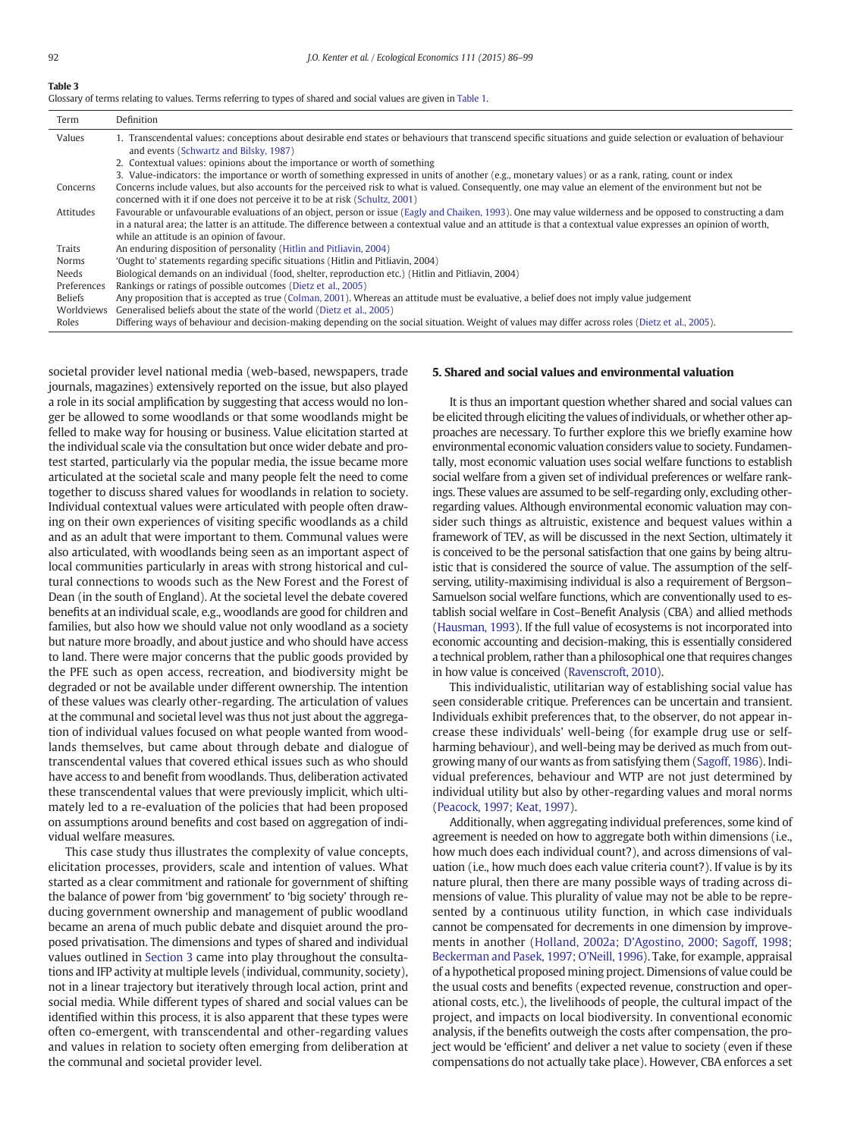<span id="page-6-0"></span>

|--|--|

| Term        | Definition                                                                                                                                                                                                 |
|-------------|------------------------------------------------------------------------------------------------------------------------------------------------------------------------------------------------------------|
| Values      | 1. Transcendental values: conceptions about desirable end states or behaviours that transcend specific situations and guide selection or evaluation of behaviour<br>and events (Schwartz and Bilsky, 1987) |
|             | 2. Contextual values: opinions about the importance or worth of something                                                                                                                                  |
|             | 3. Value-indicators: the importance or worth of something expressed in units of another (e.g., monetary values) or as a rank, rating, count or index                                                       |
| Concerns    | Concerns include values, but also accounts for the perceived risk to what is valued. Consequently, one may value an element of the environment but not be                                                  |
|             | concerned with it if one does not perceive it to be at risk (Schultz, 2001)                                                                                                                                |
| Attitudes   | Favourable or unfavourable evaluations of an object, person or issue (Eagly and Chaiken, 1993). One may value wilderness and be opposed to constructing a dam                                              |
|             | in a natural area; the latter is an attitude. The difference between a contextual value and an attitude is that a contextual value expresses an opinion of worth,                                          |
|             | while an attitude is an opinion of favour.                                                                                                                                                                 |
| Traits      | An enduring disposition of personality (Hitlin and Pitliavin, 2004)                                                                                                                                        |
| Norms       | 'Ought to' statements regarding specific situations (Hitlin and Pitliavin, 2004)                                                                                                                           |
| Needs       | Biological demands on an individual (food, shelter, reproduction etc.) (Hitlin and Pitliavin, 2004)                                                                                                        |
| Preferences | Rankings or ratings of possible outcomes (Dietz et al., 2005)                                                                                                                                              |
| Beliefs     | Any proposition that is accepted as true (Colman, 2001). Whereas an attitude must be evaluative, a belief does not imply value judgement                                                                   |
| Worldviews  | Generalised beliefs about the state of the world (Dietz et al., 2005)                                                                                                                                      |
| Roles       | Differing ways of behaviour and decision-making depending on the social situation. Weight of values may differ across roles (Dietz et al., 2005).                                                          |

societal provider level national media (web-based, newspapers, trade journals, magazines) extensively reported on the issue, but also played a role in its social amplification by suggesting that access would no longer be allowed to some woodlands or that some woodlands might be felled to make way for housing or business. Value elicitation started at the individual scale via the consultation but once wider debate and protest started, particularly via the popular media, the issue became more articulated at the societal scale and many people felt the need to come together to discuss shared values for woodlands in relation to society. Individual contextual values were articulated with people often drawing on their own experiences of visiting specific woodlands as a child and as an adult that were important to them. Communal values were also articulated, with woodlands being seen as an important aspect of local communities particularly in areas with strong historical and cultural connections to woods such as the New Forest and the Forest of Dean (in the south of England). At the societal level the debate covered benefits at an individual scale, e.g., woodlands are good for children and families, but also how we should value not only woodland as a society but nature more broadly, and about justice and who should have access to land. There were major concerns that the public goods provided by the PFE such as open access, recreation, and biodiversity might be degraded or not be available under different ownership. The intention of these values was clearly other-regarding. The articulation of values at the communal and societal level was thus not just about the aggregation of individual values focused on what people wanted from woodlands themselves, but came about through debate and dialogue of transcendental values that covered ethical issues such as who should have access to and benefit from woodlands. Thus, deliberation activated these transcendental values that were previously implicit, which ultimately led to a re-evaluation of the policies that had been proposed on assumptions around benefits and cost based on aggregation of individual welfare measures.

This case study thus illustrates the complexity of value concepts, elicitation processes, providers, scale and intention of values. What started as a clear commitment and rationale for government of shifting the balance of power from 'big government' to 'big society' through reducing government ownership and management of public woodland became an arena of much public debate and disquiet around the proposed privatisation. The dimensions and types of shared and individual values outlined in [Section 3](#page-3-0) came into play throughout the consultations and IFP activity at multiple levels (individual, community, society), not in a linear trajectory but iteratively through local action, print and social media. While different types of shared and social values can be identified within this process, it is also apparent that these types were often co-emergent, with transcendental and other-regarding values and values in relation to society often emerging from deliberation at the communal and societal provider level.

#### 5. Shared and social values and environmental valuation

It is thus an important question whether shared and social values can be elicited through eliciting the values of individuals, or whether other approaches are necessary. To further explore this we briefly examine how environmental economic valuation considers value to society. Fundamentally, most economic valuation uses social welfare functions to establish social welfare from a given set of individual preferences or welfare rankings. These values are assumed to be self-regarding only, excluding otherregarding values. Although environmental economic valuation may consider such things as altruistic, existence and bequest values within a framework of TEV, as will be discussed in the next Section, ultimately it is conceived to be the personal satisfaction that one gains by being altruistic that is considered the source of value. The assumption of the selfserving, utility-maximising individual is also a requirement of Bergson– Samuelson social welfare functions, which are conventionally used to establish social welfare in Cost–Benefit Analysis (CBA) and allied methods [\(Hausman, 1993](#page-12-0)). If the full value of ecosystems is not incorporated into economic accounting and decision-making, this is essentially considered a technical problem, rather than a philosophical one that requires changes in how value is conceived ([Ravenscroft, 2010](#page-13-0)).

This individualistic, utilitarian way of establishing social value has seen considerable critique. Preferences can be uncertain and transient. Individuals exhibit preferences that, to the observer, do not appear increase these individuals' well-being (for example drug use or selfharming behaviour), and well-being may be derived as much from outgrowing many of our wants as from satisfying them [\(Sagoff, 1986\)](#page-13-0). Individual preferences, behaviour and WTP are not just determined by individual utility but also by other-regarding values and moral norms [\(Peacock, 1997; Keat, 1997](#page-13-0)).

Additionally, when aggregating individual preferences, some kind of agreement is needed on how to aggregate both within dimensions (i.e., how much does each individual count?), and across dimensions of valuation (i.e., how much does each value criteria count?). If value is by its nature plural, then there are many possible ways of trading across dimensions of value. This plurality of value may not be able to be represented by a continuous utility function, in which case individuals cannot be compensated for decrements in one dimension by improvements in another [\(Holland, 2002a; D'Agostino, 2000; Sagoff, 1998;](#page-12-0) [Beckerman and Pasek, 1997; O'Neill, 1996](#page-12-0)). Take, for example, appraisal of a hypothetical proposed mining project. Dimensions of value could be the usual costs and benefits (expected revenue, construction and operational costs, etc.), the livelihoods of people, the cultural impact of the project, and impacts on local biodiversity. In conventional economic analysis, if the benefits outweigh the costs after compensation, the project would be 'efficient' and deliver a net value to society (even if these compensations do not actually take place). However, CBA enforces a set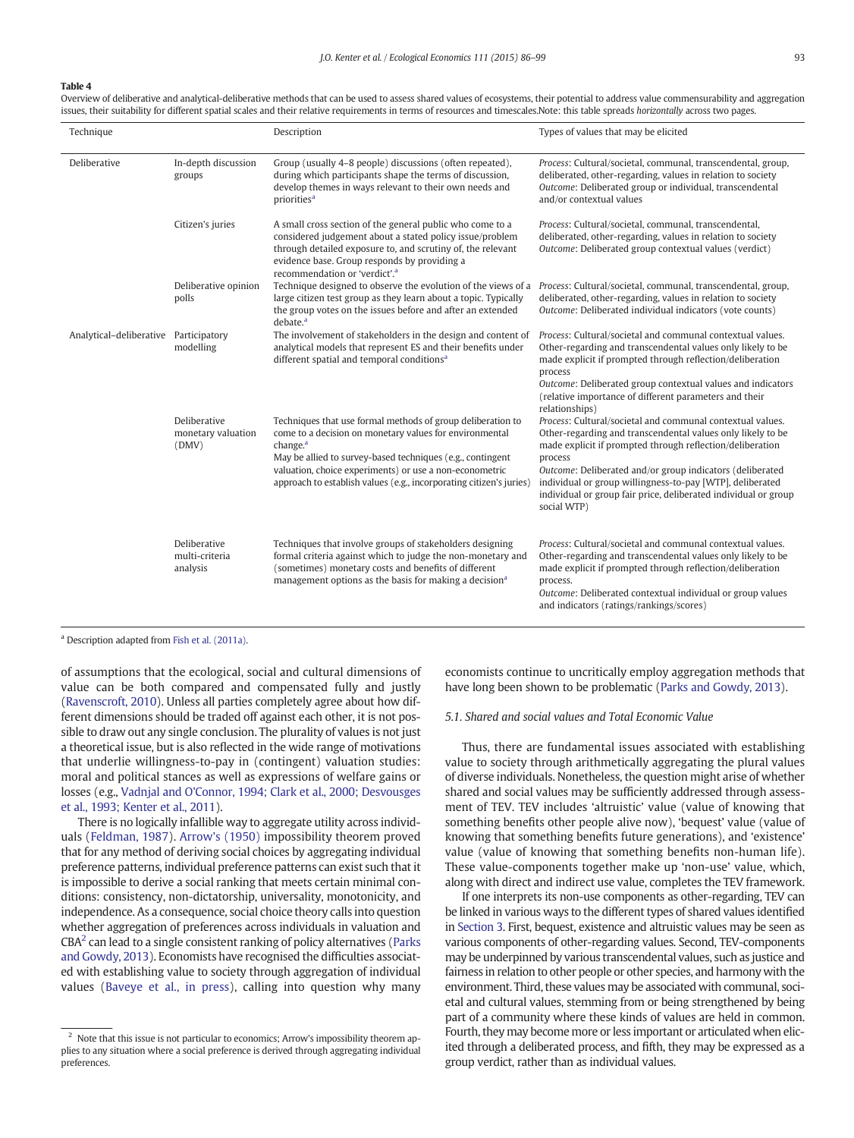<span id="page-7-0"></span>Overview of deliberative and analytical-deliberative methods that can be used to assess shared values of ecosystems, their potential to address value commensurability and aggregation issues, their suitability for different spatial scales and their relative requirements in terms of resources and timescales.Note: this table spreads horizontally across two pages.

| Technique                             |                                             | Description                                                                                                                                                                                                                                                                                                                                    | Types of values that may be elicited                                                                                                                                                                                                                                                                                                                                                                          |
|---------------------------------------|---------------------------------------------|------------------------------------------------------------------------------------------------------------------------------------------------------------------------------------------------------------------------------------------------------------------------------------------------------------------------------------------------|---------------------------------------------------------------------------------------------------------------------------------------------------------------------------------------------------------------------------------------------------------------------------------------------------------------------------------------------------------------------------------------------------------------|
| Deliberative                          | In-depth discussion<br>groups               | Group (usually 4-8 people) discussions (often repeated),<br>during which participants shape the terms of discussion,<br>develop themes in ways relevant to their own needs and<br>priorities <sup>a</sup>                                                                                                                                      | Process: Cultural/societal, communal, transcendental, group,<br>deliberated, other-regarding, values in relation to society<br>Outcome: Deliberated group or individual, transcendental<br>and/or contextual values                                                                                                                                                                                           |
|                                       | Citizen's juries                            | A small cross section of the general public who come to a<br>considered judgement about a stated policy issue/problem<br>through detailed exposure to, and scrutiny of, the relevant<br>evidence base. Group responds by providing a<br>recommendation or 'verdict'. <sup>a</sup>                                                              | Process: Cultural/societal, communal, transcendental,<br>deliberated, other-regarding, values in relation to society<br>Outcome: Deliberated group contextual values (verdict)                                                                                                                                                                                                                                |
|                                       | Deliberative opinion<br>polls               | Technique designed to observe the evolution of the views of a<br>large citizen test group as they learn about a topic. Typically<br>the group votes on the issues before and after an extended<br>debate. <sup>a</sup>                                                                                                                         | Process: Cultural/societal, communal, transcendental, group,<br>deliberated, other-regarding, values in relation to society<br>Outcome: Deliberated individual indicators (vote counts)                                                                                                                                                                                                                       |
| Analytical-deliberative Participatory | modelling                                   | The involvement of stakeholders in the design and content of<br>analytical models that represent ES and their benefits under<br>different spatial and temporal conditions <sup>a</sup>                                                                                                                                                         | Process: Cultural/societal and communal contextual values.<br>Other-regarding and transcendental values only likely to be<br>made explicit if prompted through reflection/deliberation<br>process<br>Outcome: Deliberated group contextual values and indicators<br>(relative importance of different parameters and their<br>relationships)                                                                  |
|                                       | Deliberative<br>monetary valuation<br>(DMV) | Techniques that use formal methods of group deliberation to<br>come to a decision on monetary values for environmental<br>change. <sup>a</sup><br>May be allied to survey-based techniques (e.g., contingent<br>valuation, choice experiments) or use a non-econometric<br>approach to establish values (e.g., incorporating citizen's juries) | Process: Cultural/societal and communal contextual values.<br>Other-regarding and transcendental values only likely to be<br>made explicit if prompted through reflection/deliberation<br>process<br>Outcome: Deliberated and/or group indicators (deliberated<br>individual or group willingness-to-pay [WTP], deliberated<br>individual or group fair price, deliberated individual or group<br>social WTP) |
|                                       | Deliberative<br>multi-criteria<br>analysis  | Techniques that involve groups of stakeholders designing<br>formal criteria against which to judge the non-monetary and<br>(sometimes) monetary costs and benefits of different<br>management options as the basis for making a decision <sup>a</sup>                                                                                          | Process: Cultural/societal and communal contextual values.<br>Other-regarding and transcendental values only likely to be<br>made explicit if prompted through reflection/deliberation<br>process.<br>Outcome: Deliberated contextual individual or group values<br>and indicators (ratings/rankings/scores)                                                                                                  |

<sup>a</sup> Description adapted from [Fish et al. \(2011a\).](#page-12-0)

of assumptions that the ecological, social and cultural dimensions of value can be both compared and compensated fully and justly [\(Ravenscroft, 2010](#page-13-0)). Unless all parties completely agree about how different dimensions should be traded off against each other, it is not possible to draw out any single conclusion. The plurality of values is not just a theoretical issue, but is also reflected in the wide range of motivations that underlie willingness-to-pay in (contingent) valuation studies: moral and political stances as well as expressions of welfare gains or losses (e.g., [Vadnjal and O'Connor, 1994; Clark et al., 2000; Desvousges](#page-13-0) [et al., 1993; Kenter et al., 2011](#page-13-0)).

There is no logically infallible way to aggregate utility across individuals [\(Feldman, 1987\)](#page-12-0). [Arrow's \(1950\)](#page-12-0) impossibility theorem proved that for any method of deriving social choices by aggregating individual preference patterns, individual preference patterns can exist such that it is impossible to derive a social ranking that meets certain minimal conditions: consistency, non-dictatorship, universality, monotonicity, and independence. As a consequence, social choice theory calls into question whether aggregation of preferences across individuals in valuation and  $CBA<sup>2</sup>$  can lead to a single consistent ranking of policy alternatives [\(Parks](#page-13-0) [and Gowdy, 2013\)](#page-13-0). Economists have recognised the difficulties associated with establishing value to society through aggregation of individual values ([Baveye et al., in press](#page-12-0)), calling into question why many economists continue to uncritically employ aggregation methods that have long been shown to be problematic ([Parks and Gowdy, 2013](#page-13-0)).

#### 5.1. Shared and social values and Total Economic Value

Thus, there are fundamental issues associated with establishing value to society through arithmetically aggregating the plural values of diverse individuals. Nonetheless, the question might arise of whether shared and social values may be sufficiently addressed through assessment of TEV. TEV includes 'altruistic' value (value of knowing that something benefits other people alive now), 'bequest' value (value of knowing that something benefits future generations), and 'existence' value (value of knowing that something benefits non-human life). These value-components together make up 'non-use' value, which, along with direct and indirect use value, completes the TEV framework.

If one interprets its non-use components as other-regarding, TEV can be linked in various ways to the different types of shared values identified in [Section 3.](#page-3-0) First, bequest, existence and altruistic values may be seen as various components of other-regarding values. Second, TEV-components may be underpinned by various transcendental values, such as justice and fairness in relation to other people or other species, and harmony with the environment. Third, these values may be associated with communal, societal and cultural values, stemming from or being strengthened by being part of a community where these kinds of values are held in common. Fourth, they may become more or less important or articulated when elicited through a deliberated process, and fifth, they may be expressed as a group verdict, rather than as individual values.

 $2$  Note that this issue is not particular to economics; Arrow's impossibility theorem applies to any situation where a social preference is derived through aggregating individual preferences.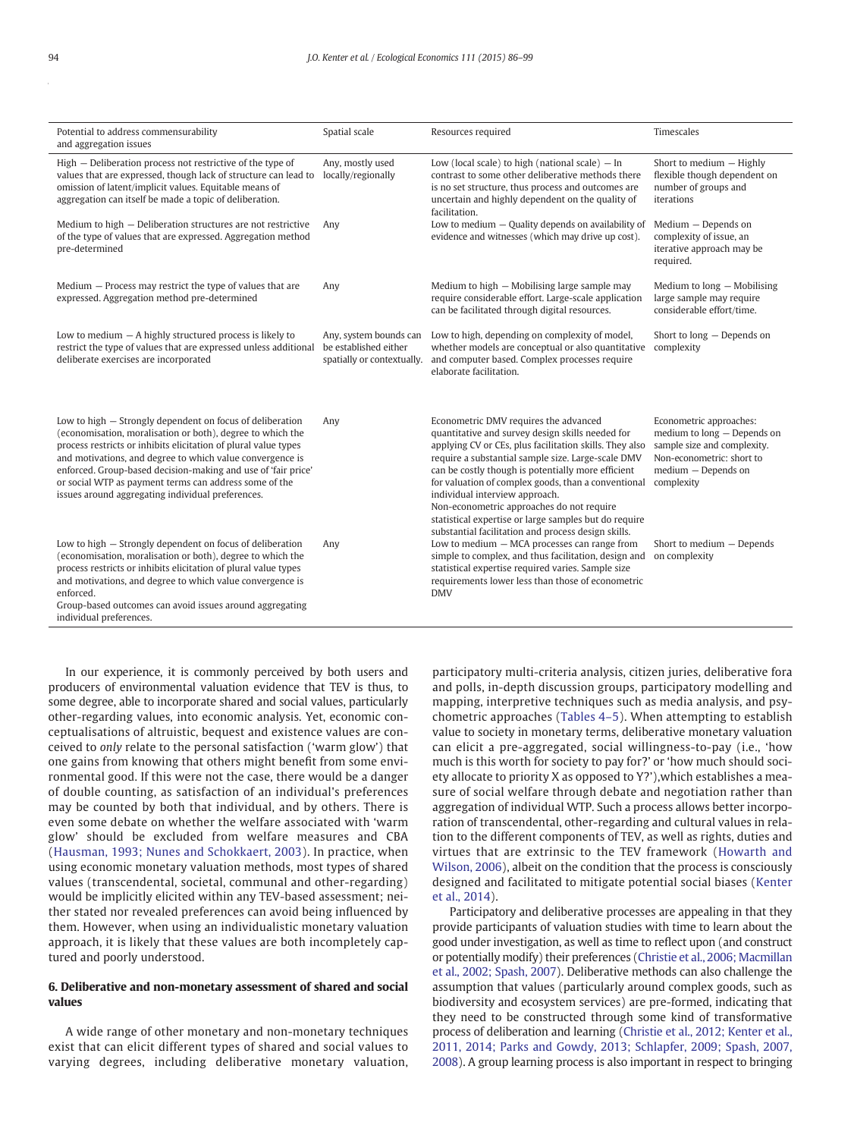<span id="page-8-0"></span>

| Potential to address commensurability<br>and aggregation issues                                                                                                                                                                                                                                                                                                                                                                         | Spatial scale                                                                 | Resources required                                                                                                                                                                                                                                                                                                                                                                                                                                                                                                     | Timescales                                                                                                                                              |
|-----------------------------------------------------------------------------------------------------------------------------------------------------------------------------------------------------------------------------------------------------------------------------------------------------------------------------------------------------------------------------------------------------------------------------------------|-------------------------------------------------------------------------------|------------------------------------------------------------------------------------------------------------------------------------------------------------------------------------------------------------------------------------------------------------------------------------------------------------------------------------------------------------------------------------------------------------------------------------------------------------------------------------------------------------------------|---------------------------------------------------------------------------------------------------------------------------------------------------------|
| High – Deliberation process not restrictive of the type of<br>values that are expressed, though lack of structure can lead to<br>omission of latent/implicit values. Equitable means of<br>aggregation can itself be made a topic of deliberation.                                                                                                                                                                                      | Any, mostly used<br>locally/regionally                                        | Low (local scale) to high (national scale) $-$ In<br>contrast to some other deliberative methods there<br>is no set structure, thus process and outcomes are<br>uncertain and highly dependent on the quality of<br>facilitation.                                                                                                                                                                                                                                                                                      | Short to medium - Highly<br>flexible though dependent on<br>number of groups and<br>iterations                                                          |
| Medium to high - Deliberation structures are not restrictive<br>of the type of values that are expressed. Aggregation method<br>pre-determined                                                                                                                                                                                                                                                                                          | Any                                                                           | Low to medium $-$ Quality depends on availability of<br>evidence and witnesses (which may drive up cost).                                                                                                                                                                                                                                                                                                                                                                                                              | Medium - Depends on<br>complexity of issue, an<br>iterative approach may be<br>required.                                                                |
| Medium $-$ Process may restrict the type of values that are<br>expressed. Aggregation method pre-determined                                                                                                                                                                                                                                                                                                                             | Any                                                                           | Medium to high - Mobilising large sample may<br>require considerable effort. Large-scale application<br>can be facilitated through digital resources.                                                                                                                                                                                                                                                                                                                                                                  | Medium to long - Mobilising<br>large sample may require<br>considerable effort/time.                                                                    |
| Low to medium $-$ A highly structured process is likely to<br>restrict the type of values that are expressed unless additional<br>deliberate exercises are incorporated                                                                                                                                                                                                                                                                 | Any, system bounds can<br>be established either<br>spatially or contextually. | Low to high, depending on complexity of model,<br>whether models are conceptual or also quantitative<br>and computer based. Complex processes require<br>elaborate facilitation.                                                                                                                                                                                                                                                                                                                                       | Short to long - Depends on<br>complexity                                                                                                                |
| Low to high - Strongly dependent on focus of deliberation<br>(economisation, moralisation or both), degree to which the<br>process restricts or inhibits elicitation of plural value types<br>and motivations, and degree to which value convergence is<br>enforced. Group-based decision-making and use of 'fair price'<br>or social WTP as payment terms can address some of the<br>issues around aggregating individual preferences. | Any                                                                           | Econometric DMV requires the advanced<br>quantitative and survey design skills needed for<br>applying CV or CEs, plus facilitation skills. They also<br>require a substantial sample size. Large-scale DMV<br>can be costly though is potentially more efficient<br>for valuation of complex goods, than a conventional<br>individual interview approach.<br>Non-econometric approaches do not require<br>statistical expertise or large samples but do require<br>substantial facilitation and process design skills. | Econometric approaches:<br>medium to long - Depends on<br>sample size and complexity.<br>Non-econometric: short to<br>medium - Depends on<br>complexity |
| Low to high – Strongly dependent on focus of deliberation<br>(economisation, moralisation or both), degree to which the<br>process restricts or inhibits elicitation of plural value types<br>and motivations, and degree to which value convergence is<br>enforced.<br>Group-based outcomes can avoid issues around aggregating<br>individual preferences.                                                                             | Any                                                                           | Low to medium - MCA processes can range from<br>simple to complex, and thus facilitation, design and<br>statistical expertise required varies. Sample size<br>requirements lower less than those of econometric<br><b>DMV</b>                                                                                                                                                                                                                                                                                          | Short to medium - Depends<br>on complexity                                                                                                              |

In our experience, it is commonly perceived by both users and producers of environmental valuation evidence that TEV is thus, to some degree, able to incorporate shared and social values, particularly other-regarding values, into economic analysis. Yet, economic conceptualisations of altruistic, bequest and existence values are conceived to only relate to the personal satisfaction ('warm glow') that one gains from knowing that others might benefit from some environmental good. If this were not the case, there would be a danger of double counting, as satisfaction of an individual's preferences may be counted by both that individual, and by others. There is even some debate on whether the welfare associated with 'warm glow' should be excluded from welfare measures and CBA ([Hausman, 1993; Nunes and Schokkaert, 2003\)](#page-12-0). In practice, when using economic monetary valuation methods, most types of shared values (transcendental, societal, communal and other-regarding) would be implicitly elicited within any TEV-based assessment; neither stated nor revealed preferences can avoid being influenced by them. However, when using an individualistic monetary valuation approach, it is likely that these values are both incompletely captured and poorly understood.

#### 6. Deliberative and non-monetary assessment of shared and social values

A wide range of other monetary and non-monetary techniques exist that can elicit different types of shared and social values to varying degrees, including deliberative monetary valuation, participatory multi-criteria analysis, citizen juries, deliberative fora and polls, in-depth discussion groups, participatory modelling and mapping, interpretive techniques such as media analysis, and psychometric approaches [\(Tables 4](#page-7-0)–5). When attempting to establish value to society in monetary terms, deliberative monetary valuation can elicit a pre-aggregated, social willingness-to-pay (i.e., 'how much is this worth for society to pay for?' or 'how much should society allocate to priority X as opposed to Y?'),which establishes a measure of social welfare through debate and negotiation rather than aggregation of individual WTP. Such a process allows better incorporation of transcendental, other-regarding and cultural values in relation to the different components of TEV, as well as rights, duties and virtues that are extrinsic to the TEV framework ([Howarth and](#page-13-0) [Wilson, 2006](#page-13-0)), albeit on the condition that the process is consciously designed and facilitated to mitigate potential social biases ([Kenter](#page-13-0) [et al., 2014](#page-13-0)).

Participatory and deliberative processes are appealing in that they provide participants of valuation studies with time to learn about the good under investigation, as well as time to reflect upon (and construct or potentially modify) their preferences [\(Christie et al., 2006; Macmillan](#page-12-0) [et al., 2002; Spash, 2007](#page-12-0)). Deliberative methods can also challenge the assumption that values (particularly around complex goods, such as biodiversity and ecosystem services) are pre-formed, indicating that they need to be constructed through some kind of transformative process of deliberation and learning [\(Christie et al., 2012; Kenter et al.,](#page-12-0) [2011, 2014; Parks and Gowdy, 2013; Schlapfer, 2009; Spash, 2007,](#page-12-0) [2008\)](#page-12-0). A group learning process is also important in respect to bringing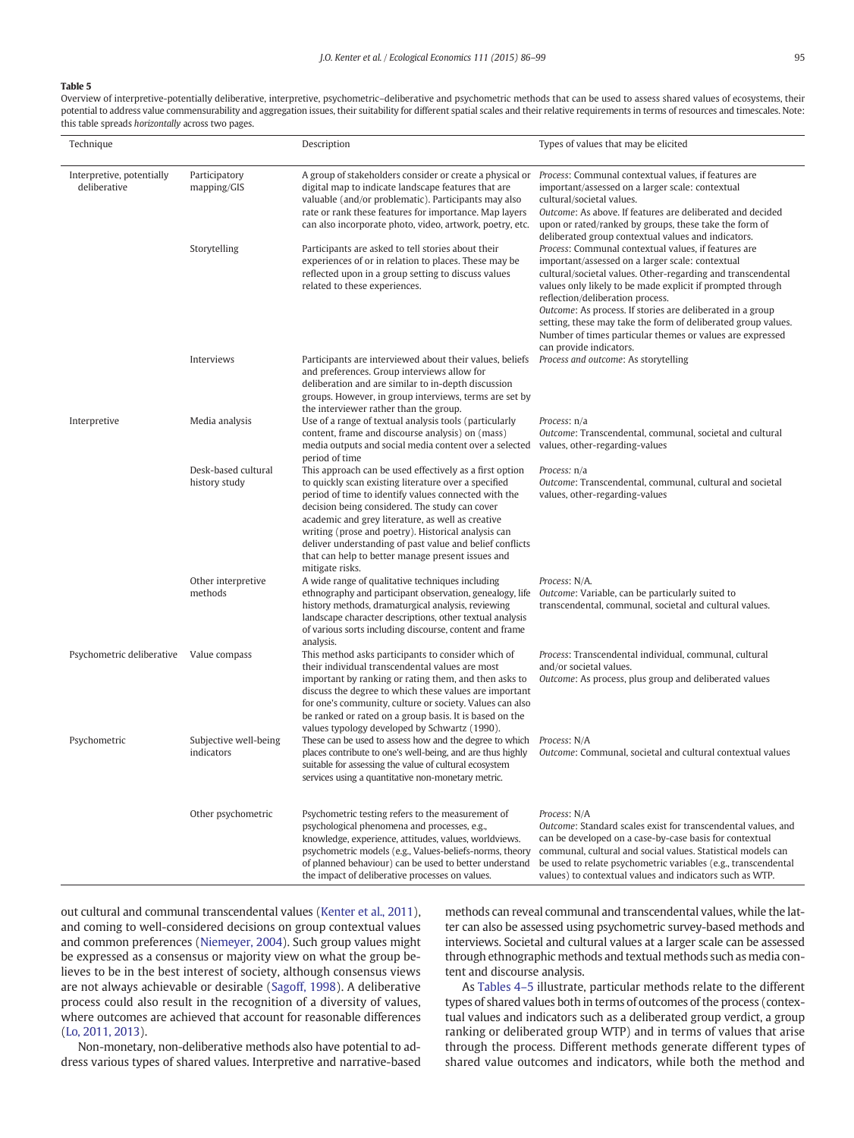Overview of interpretive-potentially deliberative, interpretive, psychometric–deliberative and psychometric methods that can be used to assess shared values of ecosystems, their potential to address value commensurability and aggregation issues, their suitability for different spatial scales and their relative requirements in terms of resources and timescales. Note: this table spreads horizontally across two pages.

| Technique                                 |                                      | Description                                                                                                                                                                                                                                                                                                                                                                                                                                                               | Types of values that may be elicited                                                                                                                                                                                                                                                                                                                                                                                                                                                              |
|-------------------------------------------|--------------------------------------|---------------------------------------------------------------------------------------------------------------------------------------------------------------------------------------------------------------------------------------------------------------------------------------------------------------------------------------------------------------------------------------------------------------------------------------------------------------------------|---------------------------------------------------------------------------------------------------------------------------------------------------------------------------------------------------------------------------------------------------------------------------------------------------------------------------------------------------------------------------------------------------------------------------------------------------------------------------------------------------|
| Interpretive, potentially<br>deliberative | Participatory<br>mapping/GIS         | A group of stakeholders consider or create a physical or<br>digital map to indicate landscape features that are<br>valuable (and/or problematic). Participants may also<br>rate or rank these features for importance. Map layers<br>can also incorporate photo, video, artwork, poetry, etc.                                                                                                                                                                             | Process: Communal contextual values, if features are<br>important/assessed on a larger scale: contextual<br>cultural/societal values.<br>Outcome: As above. If features are deliberated and decided<br>upon or rated/ranked by groups, these take the form of<br>deliberated group contextual values and indicators.                                                                                                                                                                              |
|                                           | Storytelling                         | Participants are asked to tell stories about their<br>experiences of or in relation to places. These may be<br>reflected upon in a group setting to discuss values<br>related to these experiences.                                                                                                                                                                                                                                                                       | Process: Communal contextual values, if features are<br>important/assessed on a larger scale: contextual<br>cultural/societal values. Other-regarding and transcendental<br>values only likely to be made explicit if prompted through<br>reflection/deliberation process.<br>Outcome: As process. If stories are deliberated in a group<br>setting, these may take the form of deliberated group values.<br>Number of times particular themes or values are expressed<br>can provide indicators. |
|                                           | Interviews                           | Participants are interviewed about their values, beliefs<br>and preferences. Group interviews allow for<br>deliberation and are similar to in-depth discussion<br>groups. However, in group interviews, terms are set by<br>the interviewer rather than the group.                                                                                                                                                                                                        | Process and outcome: As storytelling                                                                                                                                                                                                                                                                                                                                                                                                                                                              |
| Interpretive                              | Media analysis                       | Use of a range of textual analysis tools (particularly<br>content, frame and discourse analysis) on (mass)<br>media outputs and social media content over a selected<br>period of time                                                                                                                                                                                                                                                                                    | Process: n/a<br>Outcome: Transcendental, communal, societal and cultural<br>values, other-regarding-values                                                                                                                                                                                                                                                                                                                                                                                        |
|                                           | Desk-based cultural<br>history study | This approach can be used effectively as a first option<br>to quickly scan existing literature over a specified<br>period of time to identify values connected with the<br>decision being considered. The study can cover<br>academic and grey literature, as well as creative<br>writing (prose and poetry). Historical analysis can<br>deliver understanding of past value and belief conflicts<br>that can help to better manage present issues and<br>mitigate risks. | Process: n/a<br>Outcome: Transcendental, communal, cultural and societal<br>values, other-regarding-values                                                                                                                                                                                                                                                                                                                                                                                        |
|                                           | Other interpretive<br>methods        | A wide range of qualitative techniques including<br>ethnography and participant observation, genealogy, life<br>history methods, dramaturgical analysis, reviewing<br>landscape character descriptions, other textual analysis<br>of various sorts including discourse, content and frame<br>analysis.                                                                                                                                                                    | Process: N/A.<br>Outcome: Variable, can be particularly suited to<br>transcendental, communal, societal and cultural values.                                                                                                                                                                                                                                                                                                                                                                      |
| Psychometric deliberative Value compass   |                                      | This method asks participants to consider which of<br>their individual transcendental values are most<br>important by ranking or rating them, and then asks to<br>discuss the degree to which these values are important<br>for one's community, culture or society. Values can also<br>be ranked or rated on a group basis. It is based on the                                                                                                                           | Process: Transcendental individual, communal, cultural<br>and/or societal values.<br>Outcome: As process, plus group and deliberated values                                                                                                                                                                                                                                                                                                                                                       |
| Psychometric                              | Subjective well-being<br>indicators  | values typology developed by Schwartz (1990).<br>These can be used to assess how and the degree to which<br>places contribute to one's well-being, and are thus highly<br>suitable for assessing the value of cultural ecosystem<br>services using a quantitative non-monetary metric.                                                                                                                                                                                    | Process: N/A<br>Outcome: Communal, societal and cultural contextual values                                                                                                                                                                                                                                                                                                                                                                                                                        |
|                                           | Other psychometric                   | Psychometric testing refers to the measurement of<br>psychological phenomena and processes, e.g.,<br>knowledge, experience, attitudes, values, worldviews.<br>psychometric models (e.g., Values-beliefs-norms, theory<br>of planned behaviour) can be used to better understand<br>the impact of deliberative processes on values.                                                                                                                                        | Process: N/A<br>Outcome: Standard scales exist for transcendental values, and<br>can be developed on a case-by-case basis for contextual<br>communal, cultural and social values. Statistical models can<br>be used to relate psychometric variables (e.g., transcendental<br>values) to contextual values and indicators such as WTP.                                                                                                                                                            |

out cultural and communal transcendental values [\(Kenter et al., 2011](#page-13-0)), and coming to well-considered decisions on group contextual values and common preferences ([Niemeyer, 2004\)](#page-13-0). Such group values might be expressed as a consensus or majority view on what the group believes to be in the best interest of society, although consensus views are not always achievable or desirable [\(Sagoff, 1998\)](#page-13-0). A deliberative process could also result in the recognition of a diversity of values, where outcomes are achieved that account for reasonable differences [\(Lo, 2011, 2013\)](#page-13-0).

Non-monetary, non-deliberative methods also have potential to address various types of shared values. Interpretive and narrative-based methods can reveal communal and transcendental values, while the latter can also be assessed using psychometric survey-based methods and interviews. Societal and cultural values at a larger scale can be assessed through ethnographic methods and textual methods such as media content and discourse analysis.

As [Tables 4](#page-7-0)–5 illustrate, particular methods relate to the different types of shared values both in terms of outcomes of the process (contextual values and indicators such as a deliberated group verdict, a group ranking or deliberated group WTP) and in terms of values that arise through the process. Different methods generate different types of shared value outcomes and indicators, while both the method and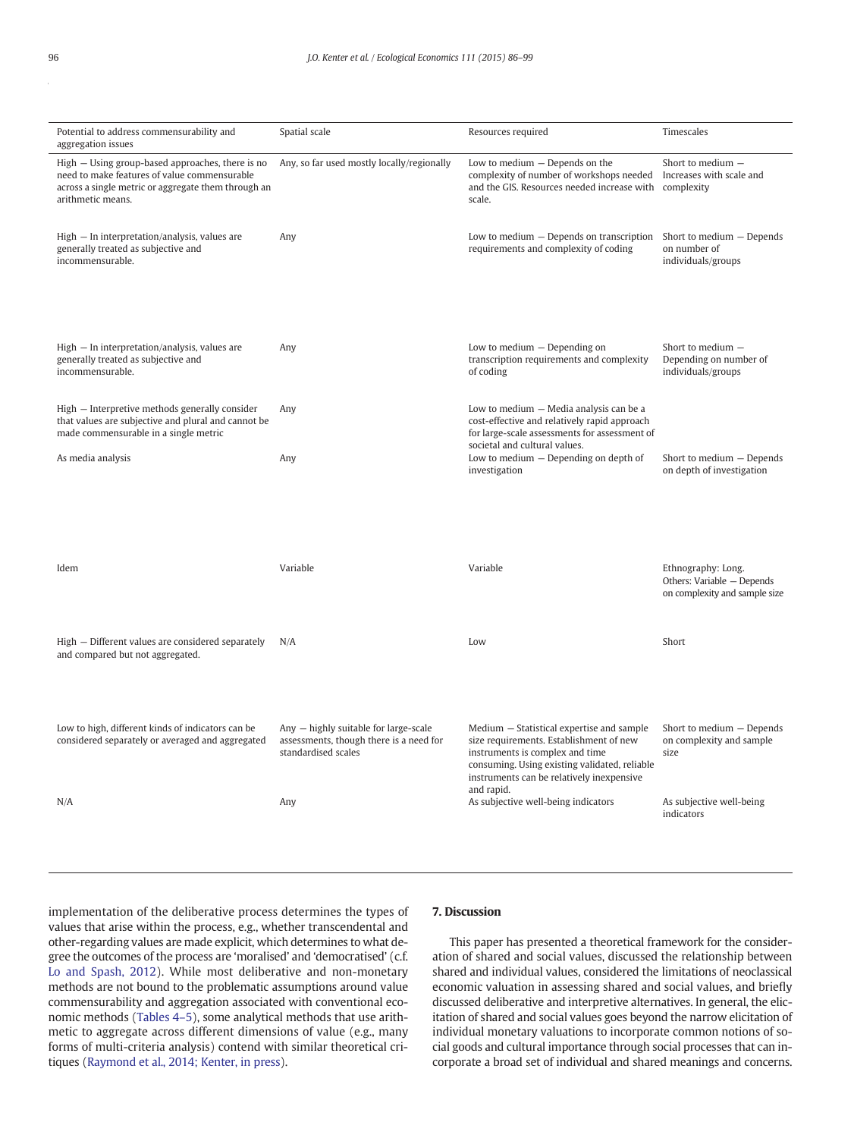| Potential to address commensurability and<br>aggregation issues                                                                                                              | Spatial scale                                                                                           | Resources required                                                                                                                                                                                                    | Timescales                                                                        |
|------------------------------------------------------------------------------------------------------------------------------------------------------------------------------|---------------------------------------------------------------------------------------------------------|-----------------------------------------------------------------------------------------------------------------------------------------------------------------------------------------------------------------------|-----------------------------------------------------------------------------------|
| High – Using group-based approaches, there is no<br>need to make features of value commensurable<br>across a single metric or aggregate them through an<br>arithmetic means. | Any, so far used mostly locally/regionally                                                              | Low to medium - Depends on the<br>complexity of number of workshops needed<br>and the GIS. Resources needed increase with<br>scale.                                                                                   | Short to medium -<br>Increases with scale and<br>complexity                       |
| High - In interpretation/analysis, values are<br>generally treated as subjective and<br>incommensurable.                                                                     | Any                                                                                                     | Low to medium $-$ Depends on transcription<br>requirements and complexity of coding                                                                                                                                   | Short to medium - Depends<br>on number of<br>individuals/groups                   |
| High - In interpretation/analysis, values are<br>generally treated as subjective and<br>incommensurable.                                                                     | Any                                                                                                     | Low to medium $-$ Depending on<br>transcription requirements and complexity<br>of coding                                                                                                                              | Short to medium -<br>Depending on number of<br>individuals/groups                 |
| High – Interpretive methods generally consider<br>that values are subjective and plural and cannot be<br>made commensurable in a single metric                               | Any                                                                                                     | Low to medium - Media analysis can be a<br>cost-effective and relatively rapid approach<br>for large-scale assessments for assessment of                                                                              |                                                                                   |
| As media analysis                                                                                                                                                            | Any                                                                                                     | societal and cultural values.<br>Low to medium $-$ Depending on depth of<br>investigation                                                                                                                             | Short to medium - Depends<br>on depth of investigation                            |
| Idem                                                                                                                                                                         | Variable                                                                                                | Variable                                                                                                                                                                                                              | Ethnography: Long.<br>Others: Variable - Depends<br>on complexity and sample size |
| High - Different values are considered separately<br>and compared but not aggregated.                                                                                        | N/A                                                                                                     | Low                                                                                                                                                                                                                   | Short                                                                             |
| Low to high, different kinds of indicators can be<br>considered separately or averaged and aggregated                                                                        | Any - highly suitable for large-scale<br>assessments, though there is a need for<br>standardised scales | Medium – Statistical expertise and sample<br>size requirements. Establishment of new<br>instruments is complex and time<br>consuming. Using existing validated, reliable<br>instruments can be relatively inexpensive | Short to medium - Depends<br>on complexity and sample<br>size                     |
| N/A                                                                                                                                                                          | Any                                                                                                     | and rapid.<br>As subjective well-being indicators                                                                                                                                                                     | As subjective well-being<br>indicators                                            |

implementation of the deliberative process determines the types of values that arise within the process, e.g., whether transcendental and other-regarding values are made explicit, which determines to what degree the outcomes of the process are 'moralised' and 'democratised' (c.f. [Lo and Spash, 2012](#page-13-0)). While most deliberative and non-monetary methods are not bound to the problematic assumptions around value commensurability and aggregation associated with conventional economic methods ([Tables 4](#page-7-0)–5), some analytical methods that use arithmetic to aggregate across different dimensions of value (e.g., many forms of multi-criteria analysis) contend with similar theoretical critiques [\(Raymond et al., 2014; Kenter, in press](#page-13-0)).

#### 7. Discussion

This paper has presented a theoretical framework for the consideration of shared and social values, discussed the relationship between shared and individual values, considered the limitations of neoclassical economic valuation in assessing shared and social values, and briefly discussed deliberative and interpretive alternatives. In general, the elicitation of shared and social values goes beyond the narrow elicitation of individual monetary valuations to incorporate common notions of social goods and cultural importance through social processes that can incorporate a broad set of individual and shared meanings and concerns.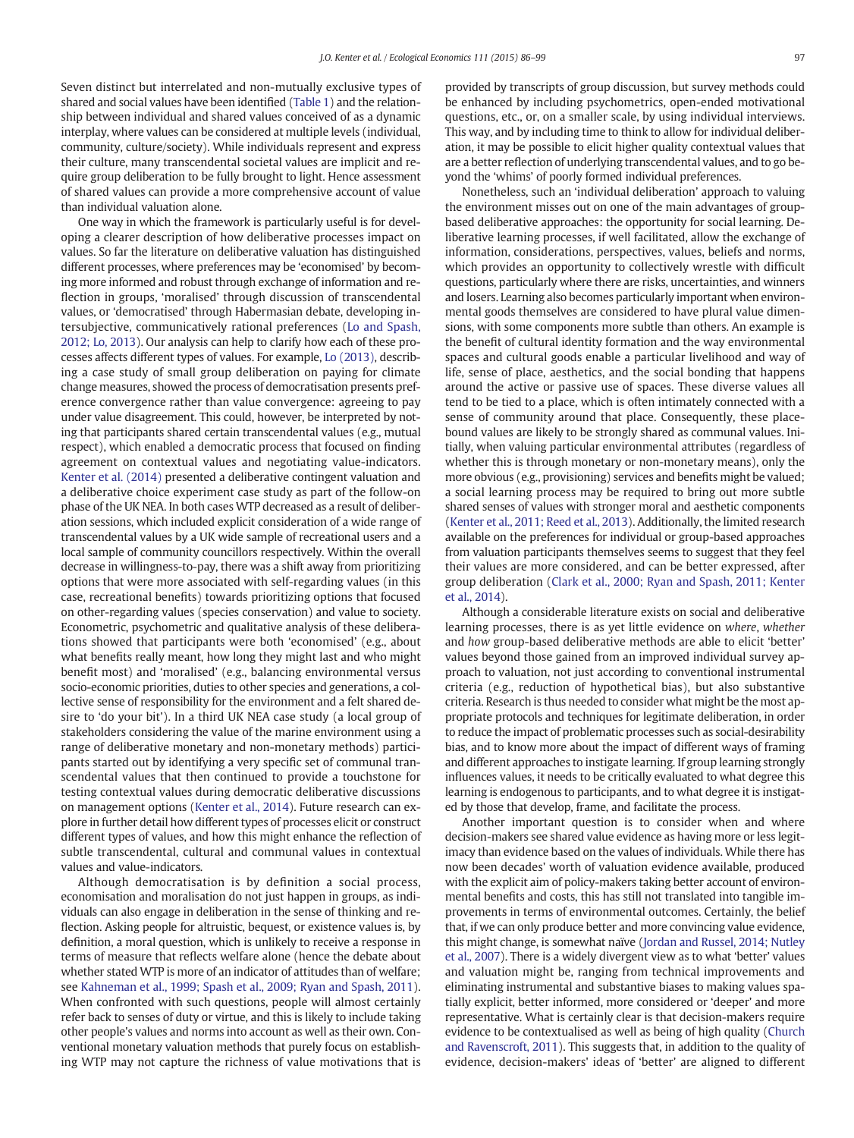Seven distinct but interrelated and non-mutually exclusive types of shared and social values have been identified ([Table 1\)](#page-2-0) and the relationship between individual and shared values conceived of as a dynamic interplay, where values can be considered at multiple levels (individual, community, culture/society). While individuals represent and express their culture, many transcendental societal values are implicit and require group deliberation to be fully brought to light. Hence assessment of shared values can provide a more comprehensive account of value than individual valuation alone.

One way in which the framework is particularly useful is for developing a clearer description of how deliberative processes impact on values. So far the literature on deliberative valuation has distinguished different processes, where preferences may be 'economised' by becoming more informed and robust through exchange of information and reflection in groups, 'moralised' through discussion of transcendental values, or 'democratised' through Habermasian debate, developing intersubjective, communicatively rational preferences [\(Lo and Spash,](#page-13-0) [2012; Lo, 2013\)](#page-13-0). Our analysis can help to clarify how each of these processes affects different types of values. For example, [Lo \(2013\)](#page-13-0), describing a case study of small group deliberation on paying for climate change measures, showed the process of democratisation presents preference convergence rather than value convergence: agreeing to pay under value disagreement. This could, however, be interpreted by noting that participants shared certain transcendental values (e.g., mutual respect), which enabled a democratic process that focused on finding agreement on contextual values and negotiating value-indicators. [Kenter et al. \(2014\)](#page-13-0) presented a deliberative contingent valuation and a deliberative choice experiment case study as part of the follow-on phase of the UK NEA. In both cases WTP decreased as a result of deliberation sessions, which included explicit consideration of a wide range of transcendental values by a UK wide sample of recreational users and a local sample of community councillors respectively. Within the overall decrease in willingness-to-pay, there was a shift away from prioritizing options that were more associated with self-regarding values (in this case, recreational benefits) towards prioritizing options that focused on other-regarding values (species conservation) and value to society. Econometric, psychometric and qualitative analysis of these deliberations showed that participants were both 'economised' (e.g., about what benefits really meant, how long they might last and who might benefit most) and 'moralised' (e.g., balancing environmental versus socio-economic priorities, duties to other species and generations, a collective sense of responsibility for the environment and a felt shared desire to 'do your bit'). In a third UK NEA case study (a local group of stakeholders considering the value of the marine environment using a range of deliberative monetary and non-monetary methods) participants started out by identifying a very specific set of communal transcendental values that then continued to provide a touchstone for testing contextual values during democratic deliberative discussions on management options [\(Kenter et al., 2014\)](#page-13-0). Future research can explore in further detail how different types of processes elicit or construct different types of values, and how this might enhance the reflection of subtle transcendental, cultural and communal values in contextual values and value-indicators.

Although democratisation is by definition a social process, economisation and moralisation do not just happen in groups, as individuals can also engage in deliberation in the sense of thinking and reflection. Asking people for altruistic, bequest, or existence values is, by definition, a moral question, which is unlikely to receive a response in terms of measure that reflects welfare alone (hence the debate about whether stated WTP is more of an indicator of attitudes than of welfare; see [Kahneman et al., 1999; Spash et al., 2009; Ryan and Spash, 2011](#page-13-0)). When confronted with such questions, people will almost certainly refer back to senses of duty or virtue, and this is likely to include taking other people's values and norms into account as well as their own. Conventional monetary valuation methods that purely focus on establishing WTP may not capture the richness of value motivations that is provided by transcripts of group discussion, but survey methods could be enhanced by including psychometrics, open-ended motivational questions, etc., or, on a smaller scale, by using individual interviews. This way, and by including time to think to allow for individual deliberation, it may be possible to elicit higher quality contextual values that are a better reflection of underlying transcendental values, and to go beyond the 'whims' of poorly formed individual preferences.

Nonetheless, such an 'individual deliberation' approach to valuing the environment misses out on one of the main advantages of groupbased deliberative approaches: the opportunity for social learning. Deliberative learning processes, if well facilitated, allow the exchange of information, considerations, perspectives, values, beliefs and norms, which provides an opportunity to collectively wrestle with difficult questions, particularly where there are risks, uncertainties, and winners and losers. Learning also becomes particularly important when environmental goods themselves are considered to have plural value dimensions, with some components more subtle than others. An example is the benefit of cultural identity formation and the way environmental spaces and cultural goods enable a particular livelihood and way of life, sense of place, aesthetics, and the social bonding that happens around the active or passive use of spaces. These diverse values all tend to be tied to a place, which is often intimately connected with a sense of community around that place. Consequently, these placebound values are likely to be strongly shared as communal values. Initially, when valuing particular environmental attributes (regardless of whether this is through monetary or non-monetary means), only the more obvious (e.g., provisioning) services and benefits might be valued; a social learning process may be required to bring out more subtle shared senses of values with stronger moral and aesthetic components [\(Kenter et al., 2011; Reed et al., 2013\)](#page-13-0). Additionally, the limited research available on the preferences for individual or group-based approaches from valuation participants themselves seems to suggest that they feel their values are more considered, and can be better expressed, after group deliberation ([Clark et al., 2000; Ryan and Spash, 2011; Kenter](#page-12-0) [et al., 2014](#page-12-0)).

Although a considerable literature exists on social and deliberative learning processes, there is as yet little evidence on where, whether and how group-based deliberative methods are able to elicit 'better' values beyond those gained from an improved individual survey approach to valuation, not just according to conventional instrumental criteria (e.g., reduction of hypothetical bias), but also substantive criteria. Research is thus needed to consider what might be the most appropriate protocols and techniques for legitimate deliberation, in order to reduce the impact of problematic processes such as social-desirability bias, and to know more about the impact of different ways of framing and different approaches to instigate learning. If group learning strongly influences values, it needs to be critically evaluated to what degree this learning is endogenous to participants, and to what degree it is instigated by those that develop, frame, and facilitate the process.

Another important question is to consider when and where decision-makers see shared value evidence as having more or less legitimacy than evidence based on the values of individuals. While there has now been decades' worth of valuation evidence available, produced with the explicit aim of policy-makers taking better account of environmental benefits and costs, this has still not translated into tangible improvements in terms of environmental outcomes. Certainly, the belief that, if we can only produce better and more convincing value evidence, this might change, is somewhat naïve [\(Jordan and Russel, 2014; Nutley](#page-13-0) [et al., 2007\)](#page-13-0). There is a widely divergent view as to what 'better' values and valuation might be, ranging from technical improvements and eliminating instrumental and substantive biases to making values spatially explicit, better informed, more considered or 'deeper' and more representative. What is certainly clear is that decision-makers require evidence to be contextualised as well as being of high quality ([Church](#page-12-0) [and Ravenscroft, 2011](#page-12-0)). This suggests that, in addition to the quality of evidence, decision-makers' ideas of 'better' are aligned to different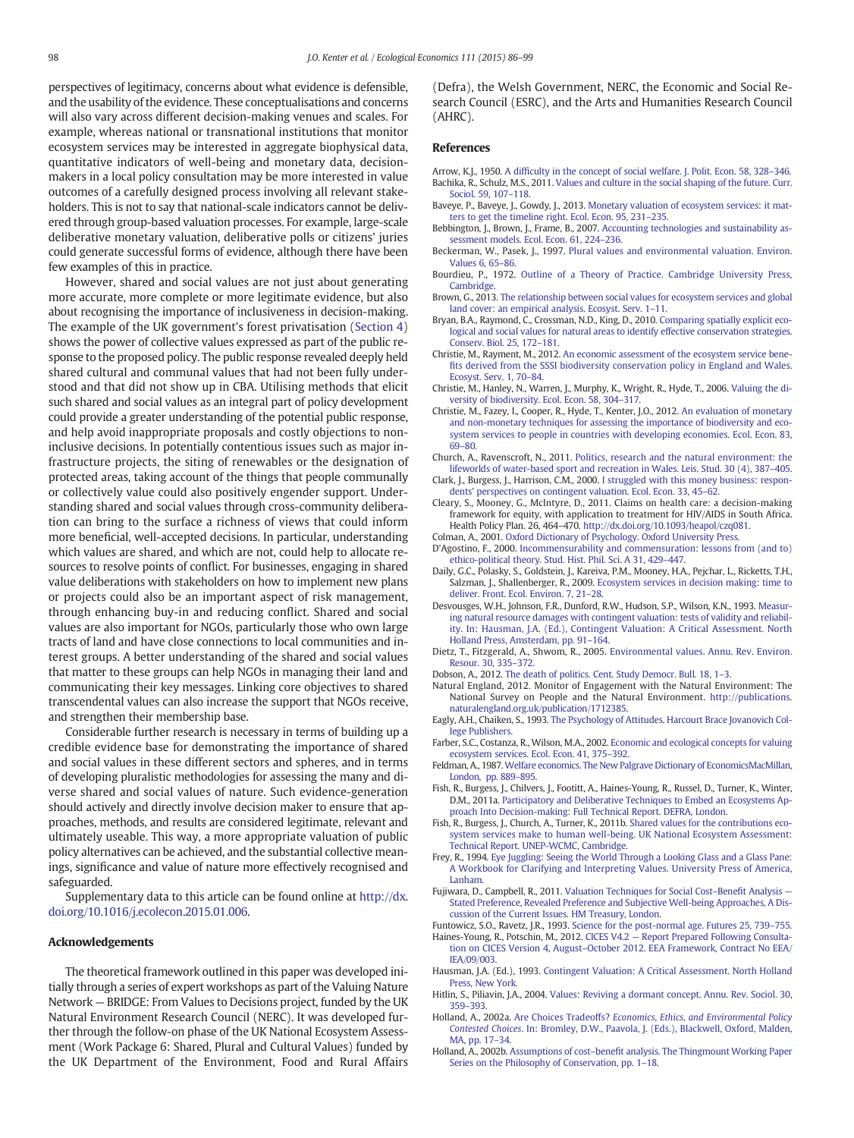<span id="page-12-0"></span>perspectives of legitimacy, concerns about what evidence is defensible, and the usability of the evidence. These conceptualisations and concerns will also vary across different decision-making venues and scales. For example, whereas national or transnational institutions that monitor ecosystem services may be interested in aggregate biophysical data, quantitative indicators of well-being and monetary data, decisionmakers in a local policy consultation may be more interested in value outcomes of a carefully designed process involving all relevant stakeholders. This is not to say that national-scale indicators cannot be delivered through group-based valuation processes. For example, large-scale deliberative monetary valuation, deliberative polls or citizens' juries could generate successful forms of evidence, although there have been few examples of this in practice.

However, shared and social values are not just about generating more accurate, more complete or more legitimate evidence, but also about recognising the importance of inclusiveness in decision-making. The example of the UK government's forest privatisation ([Section 4](#page-5-0)) shows the power of collective values expressed as part of the public response to the proposed policy. The public response revealed deeply held shared cultural and communal values that had not been fully understood and that did not show up in CBA. Utilising methods that elicit such shared and social values as an integral part of policy development could provide a greater understanding of the potential public response, and help avoid inappropriate proposals and costly objections to noninclusive decisions. In potentially contentious issues such as major infrastructure projects, the siting of renewables or the designation of protected areas, taking account of the things that people communally or collectively value could also positively engender support. Understanding shared and social values through cross-community deliberation can bring to the surface a richness of views that could inform more beneficial, well-accepted decisions. In particular, understanding which values are shared, and which are not, could help to allocate resources to resolve points of conflict. For businesses, engaging in shared value deliberations with stakeholders on how to implement new plans or projects could also be an important aspect of risk management, through enhancing buy-in and reducing conflict. Shared and social values are also important for NGOs, particularly those who own large tracts of land and have close connections to local communities and interest groups. A better understanding of the shared and social values that matter to these groups can help NGOs in managing their land and communicating their key messages. Linking core objectives to shared transcendental values can also increase the support that NGOs receive, and strengthen their membership base.

Considerable further research is necessary in terms of building up a credible evidence base for demonstrating the importance of shared and social values in these different sectors and spheres, and in terms of developing pluralistic methodologies for assessing the many and diverse shared and social values of nature. Such evidence-generation should actively and directly involve decision maker to ensure that approaches, methods, and results are considered legitimate, relevant and ultimately useable. This way, a more appropriate valuation of public policy alternatives can be achieved, and the substantial collective meanings, significance and value of nature more effectively recognised and safeguarded.

Supplementary data to this article can be found online at [http://dx.](http://dx.doi.org/10.1016/j.ecolecon.2015.01.006) [doi.org/10.1016/j.ecolecon.2015.01.006.](http://dx.doi.org/10.1016/j.ecolecon.2015.01.006)

#### Acknowledgements

The theoretical framework outlined in this paper was developed initially through a series of expert workshops as part of the Valuing Nature Network — BRIDGE: From Values to Decisions project, funded by the UK Natural Environment Research Council (NERC). It was developed further through the follow-on phase of the UK National Ecosystem Assessment (Work Package 6: Shared, Plural and Cultural Values) funded by the UK Department of the Environment, Food and Rural Affairs

(Defra), the Welsh Government, NERC, the Economic and Social Research Council (ESRC), and the Arts and Humanities Research Council (AHRC).

#### References

- Arrow, K.J., 1950. A diffi[culty in the concept of social welfare. J. Polit. Econ. 58, 328](http://refhub.elsevier.com/S0921-8009(15)00019-1/rf0020)–346. Bachika, R., Schulz, M.S., 2011. [Values and culture in the social shaping of the future. Curr.](http://refhub.elsevier.com/S0921-8009(15)00019-1/rf0025) [Sociol. 59, 107](http://refhub.elsevier.com/S0921-8009(15)00019-1/rf0025)–118.
- Baveye, P., Baveye, J., Gowdy, J., 2013. [Monetary valuation of ecosystem services: it mat](http://refhub.elsevier.com/S0921-8009(15)00019-1/rf0515)[ters to get the timeline right. Ecol. Econ. 95, 231](http://refhub.elsevier.com/S0921-8009(15)00019-1/rf0515)–235.
- Bebbington, J., Brown, J., Frame, B., 2007. [Accounting technologies and sustainability as](http://refhub.elsevier.com/S0921-8009(15)00019-1/rf0035)[sessment models. Ecol. Econ. 61, 224](http://refhub.elsevier.com/S0921-8009(15)00019-1/rf0035)–236.
- Beckerman, W., Pasek, J., 1997. [Plural values and environmental valuation. Environ.](http://refhub.elsevier.com/S0921-8009(15)00019-1/rf0040) [Values 6, 65](http://refhub.elsevier.com/S0921-8009(15)00019-1/rf0040)–86.
- Bourdieu, P., 1972. [Outline of a Theory of Practice. Cambridge University Press,](http://refhub.elsevier.com/S0921-8009(15)00019-1/rf0045) [Cambridge](http://refhub.elsevier.com/S0921-8009(15)00019-1/rf0045).
- Brown, G., 2013. [The relationship between social values for ecosystem services and global](http://refhub.elsevier.com/S0921-8009(15)00019-1/rf0050) [land cover: an empirical analysis. Ecosyst. Serv. 1](http://refhub.elsevier.com/S0921-8009(15)00019-1/rf0050)–11.
- Bryan, B.A., Raymond, C., Crossman, N.D., King, D., 2010. [Comparing spatially explicit eco](http://refhub.elsevier.com/S0921-8009(15)00019-1/rf0055)[logical and social values for natural areas to identify effective conservation strategies.](http://refhub.elsevier.com/S0921-8009(15)00019-1/rf0055) [Conserv. Biol. 25, 172](http://refhub.elsevier.com/S0921-8009(15)00019-1/rf0055)–181.
- Christie, M., Rayment, M., 2012. [An economic assessment of the ecosystem service bene](http://refhub.elsevier.com/S0921-8009(15)00019-1/rf0085)fi[ts derived from the SSSI biodiversity conservation policy in England and Wales.](http://refhub.elsevier.com/S0921-8009(15)00019-1/rf0085) [Ecosyst. Serv. 1, 70](http://refhub.elsevier.com/S0921-8009(15)00019-1/rf0085)–84.
- Christie, M., Hanley, N., Warren, J., Murphy, K., Wright, R., Hyde, T., 2006. [Valuing the di](http://refhub.elsevier.com/S0921-8009(15)00019-1/rf0080)[versity of biodiversity. Ecol. Econ. 58, 304](http://refhub.elsevier.com/S0921-8009(15)00019-1/rf0080)–317.
- Christie, M., Fazey, I., Cooper, R., Hyde, T., Kenter, J.O., 2012. [An evaluation of monetary](http://refhub.elsevier.com/S0921-8009(15)00019-1/rf0075) [and non-monetary techniques for assessing the importance of biodiversity and eco](http://refhub.elsevier.com/S0921-8009(15)00019-1/rf0075)[system services to people in countries with developing economies. Ecol. Econ. 83,](http://refhub.elsevier.com/S0921-8009(15)00019-1/rf0075) [69](http://refhub.elsevier.com/S0921-8009(15)00019-1/rf0075)–80.
- Church, A., Ravenscroft, N., 2011. [Politics, research and the natural environment: the](http://refhub.elsevier.com/S0921-8009(15)00019-1/rf0095) [lifeworlds of water-based sport and recreation in Wales. Leis. Stud. 30 \(4\), 387](http://refhub.elsevier.com/S0921-8009(15)00019-1/rf0095)–405.
- Clark, J., Burgess, J., Harrison, C.M., 2000. [I struggled with this money business: respon](http://refhub.elsevier.com/S0921-8009(15)00019-1/rf0100)[dents' perspectives on contingent valuation. Ecol. Econ. 33, 45](http://refhub.elsevier.com/S0921-8009(15)00019-1/rf0100)–62.
- Cleary, S., Mooney, G., McIntyre, D., 2011. Claims on health care: a decision-making framework for equity, with application to treatment for HIV/AIDS in South Africa. Health Policy Plan. 26, 464–470. http://dx.doi.org/[10.1093/heapol/czq081](http://dx.doi.org/10.1093/heapol/czq081).
- Colman, A., 2001. [Oxford Dictionary of Psychology. Oxford University Press.](http://refhub.elsevier.com/S0921-8009(15)00019-1/rf0110)
- D'Agostino, F., 2000. [Incommensurability and commensuration: lessons from \(and to\)](http://refhub.elsevier.com/S0921-8009(15)00019-1/rf0125) [ethico-political theory. Stud. Hist. Phil. Sci. A 31, 429](http://refhub.elsevier.com/S0921-8009(15)00019-1/rf0125)–447.
- Daily, G.C., Polasky, S., Goldstein, J., Kareiva, P.M., Mooney, H.A., Pejchar, L., Ricketts, T.H., Salzman, J., Shallenberger, R., 2009. [Ecosystem services in decision making: time to](http://refhub.elsevier.com/S0921-8009(15)00019-1/rf0120) [deliver. Front. Ecol. Environ. 7, 21](http://refhub.elsevier.com/S0921-8009(15)00019-1/rf0120)–28.
- Desvousges, W.H., Johnson, F.R., Dunford, R.W., Hudson, S.P., Wilson, K.N., 1993. [Measur](http://refhub.elsevier.com/S0921-8009(15)00019-1/rf0130)[ing natural resource damages with contingent valuation: tests of validity and reliabil](http://refhub.elsevier.com/S0921-8009(15)00019-1/rf0130)[ity. In: Hausman, J.A. \(Ed.\), Contingent Valuation: A Critical Assessment. North](http://refhub.elsevier.com/S0921-8009(15)00019-1/rf0130) [Holland Press, Amsterdam, pp. 91](http://refhub.elsevier.com/S0921-8009(15)00019-1/rf0130)–164.
- Dietz, T., Fitzgerald, A., Shwom, R., 2005. [Environmental values. Annu. Rev. Environ.](http://refhub.elsevier.com/S0921-8009(15)00019-1/rf0135) [Resour. 30, 335](http://refhub.elsevier.com/S0921-8009(15)00019-1/rf0135)–372.
- Dobson, A., 2012. [The death of politics. Cent. Study Democr. Bull. 18, 1](http://refhub.elsevier.com/S0921-8009(15)00019-1/rf0530)–3.
- Natural England, 2012. Monitor of Engagement with the Natural Environment: The National Survey on People and the Natural Environment. [http://publications.](http://publications.naturalengland.org.uk/publication/1712385) [naturalengland.org.uk/publication/1712385.](http://publications.naturalengland.org.uk/publication/1712385)
- Eagly, A.H., Chaiken, S., 1993. [The Psychology of Attitudes. Harcourt Brace Jovanovich Col](http://refhub.elsevier.com/S0921-8009(15)00019-1/rf9000)[lege Publishers](http://refhub.elsevier.com/S0921-8009(15)00019-1/rf9000).
- Farber, S.C., Costanza, R., Wilson, M.A., 2002. [Economic and ecological concepts for valuing](http://refhub.elsevier.com/S0921-8009(15)00019-1/rf0150) [ecosystem services. Ecol. Econ. 41, 375](http://refhub.elsevier.com/S0921-8009(15)00019-1/rf0150)–392.
- Feldman, A., 1987. [Welfare economics. The New Palgrave Dictionary of EconomicsMacMillan,](http://refhub.elsevier.com/S0921-8009(15)00019-1/rf0155) [London, pp. 889](http://refhub.elsevier.com/S0921-8009(15)00019-1/rf0155)–895.
- Fish, R., Burgess, J., Chilvers, J., Footitt, A., Haines-Young, R., Russel, D., Turner, K., Winter, D.M., 2011a. [Participatory and Deliberative Techniques to Embed an Ecosystems Ap](http://refhub.elsevier.com/S0921-8009(15)00019-1/rf0535)[proach Into Decision-making: Full Technical Report. DEFRA, London](http://refhub.elsevier.com/S0921-8009(15)00019-1/rf0535).
- Fish, R., Burgess, J., Church, A., Turner, K., 2011b. [Shared values for the contributions eco](http://refhub.elsevier.com/S0921-8009(15)00019-1/rf0540)[system services make to human well-being. UK National Ecosystem Assessment:](http://refhub.elsevier.com/S0921-8009(15)00019-1/rf0540) [Technical Report. UNEP-WCMC, Cambridge.](http://refhub.elsevier.com/S0921-8009(15)00019-1/rf0540)
- Frey, R., 1994. [Eye Juggling: Seeing the World Through a Looking Glass and a Glass Pane:](http://refhub.elsevier.com/S0921-8009(15)00019-1/rf0170) [A Workbook for Clarifying and Interpreting Values. University Press of America,](http://refhub.elsevier.com/S0921-8009(15)00019-1/rf0170) [Lanham](http://refhub.elsevier.com/S0921-8009(15)00019-1/rf0170).
- Fujiwara, D., Campbell, R., 2011. [Valuation Techniques for Social Cost](http://refhub.elsevier.com/S0921-8009(15)00019-1/rf0175)–Benefit Analysis [Stated Preference, Revealed Preference and Subjective Well-being Approaches, A Dis](http://refhub.elsevier.com/S0921-8009(15)00019-1/rf0175)[cussion of the Current Issues. HM Treasury, London](http://refhub.elsevier.com/S0921-8009(15)00019-1/rf0175).
- Funtowicz, S.O., Ravetz, J.R., 1993. [Science for the post-normal age. Futures 25, 739](http://refhub.elsevier.com/S0921-8009(15)00019-1/rf0180)–755. Haines-Young, R., Potschin, M., 2012. CICES V4.2 — [Report Prepared Following Consulta](http://refhub.elsevier.com/S0921-8009(15)00019-1/rf0545)tion on CICES Version 4, August–[October 2012. EEA Framework, Contract No EEA/](http://refhub.elsevier.com/S0921-8009(15)00019-1/rf0545) [IEA/09/003](http://refhub.elsevier.com/S0921-8009(15)00019-1/rf0545).
- Hausman, J.A. (Ed.), 1993. [Contingent Valuation: A Critical Assessment. North Holland](http://refhub.elsevier.com/S0921-8009(15)00019-1/rf0195) [Press, New York.](http://refhub.elsevier.com/S0921-8009(15)00019-1/rf0195)
- Hitlin, S., Piliavin, J.A., 2004. [Values: Reviving a dormant concept. Annu. Rev. Sociol. 30,](http://refhub.elsevier.com/S0921-8009(15)00019-1/rf8000) 359–[393.](http://refhub.elsevier.com/S0921-8009(15)00019-1/rf8000)
- Holland, A., 2002a. Are Choices Tradeoffs? [Economics, Ethics, and Environmental Policy](http://refhub.elsevier.com/S0921-8009(15)00019-1/rf0550) Contested Choices[. In: Bromley, D.W., Paavola, J. \(Eds.\), Blackwell, Oxford, Malden,](http://refhub.elsevier.com/S0921-8009(15)00019-1/rf0550) [MA, pp. 17](http://refhub.elsevier.com/S0921-8009(15)00019-1/rf0550)–34.
- Holland, A., 2002b. Assumptions of cost–benefi[t analysis. The Thingmount Working Paper](http://refhub.elsevier.com/S0921-8009(15)00019-1/rf0555) [Series on the Philosophy of Conservation, pp. 1](http://refhub.elsevier.com/S0921-8009(15)00019-1/rf0555)–18.